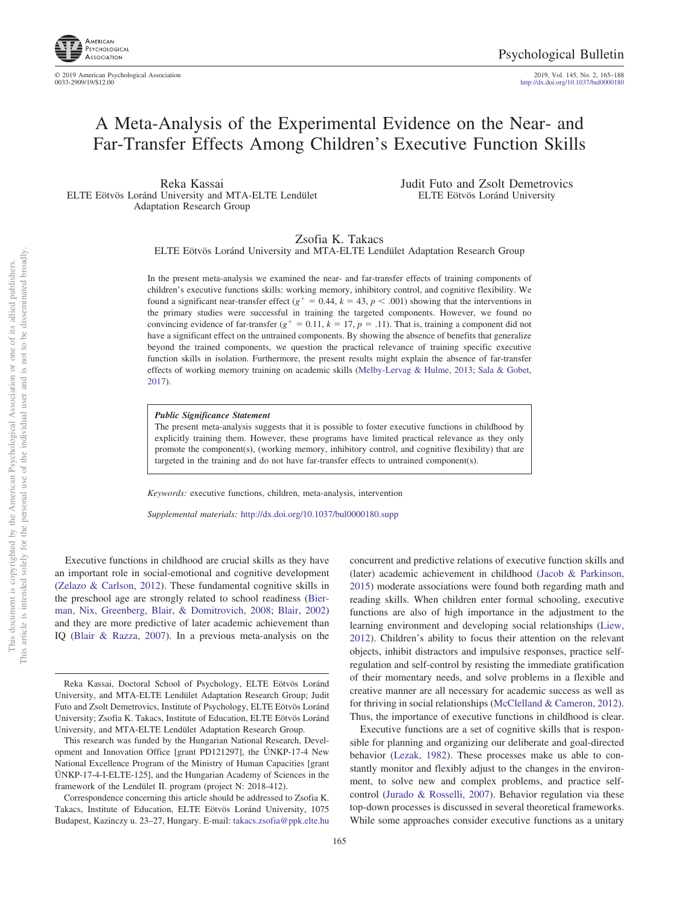2019, Vol. 145, No. 2, 165-188<br>http://dx.doi.org[/10.1037/bul0000180](http://dx.doi.org/10.1037/bul0000180)

# A Meta-Analysis of the Experimental Evidence on the Near- and Far-Transfer Effects Among Children's Executive Function Skills

Reka Kassai ELTE Eötvös Loránd University and MTA-ELTE Lendület Adaptation Research Group

Judit Futo and Zsolt Demetrovics ELTE Eötvös Loránd University

Zsofia K. Takacs

ELTE Eötvös Loránd University and MTA-ELTE Lendület Adaptation Research Group

In the present meta-analysis we examined the near- and far-transfer effects of training components of children's executive functions skills: working memory, inhibitory control, and cognitive flexibility. We found a significant near-transfer effect ( $g^+ = 0.44$ ,  $k = 43$ ,  $p < .001$ ) showing that the interventions in the primary studies were successful in training the targeted components. However, we found no convincing evidence of far-transfer ( $g^+ = 0.11$ ,  $k = 17$ ,  $p = .11$ ). That is, training a component did not have a significant effect on the untrained components. By showing the absence of benefits that generalize beyond the trained components, we question the practical relevance of training specific executive function skills in isolation. Furthermore, the present results might explain the absence of far-transfer effects of working memory training on academic skills [\(Melby-Lervag & Hulme, 2013;](#page-21-0) [Sala & Gobet,](#page-21-1) [2017\)](#page-21-1).

### *Public Significance Statement*

The present meta-analysis suggests that it is possible to foster executive functions in childhood by explicitly training them. However, these programs have limited practical relevance as they only promote the component(s), (working memory, inhibitory control, and cognitive flexibility) that are targeted in the training and do not have far-transfer effects to untrained component(s).

*Keywords:* executive functions, children, meta-analysis, intervention

*Supplemental materials:* http://dx.doi.org/10.1037/bul0000180.supp

Executive functions in childhood are crucial skills as they have an important role in social-emotional and cognitive development [\(Zelazo & Carlson, 2012\)](#page-22-0). These fundamental cognitive skills in the preschool age are strongly related to school readiness [\(Bier](#page-19-0)[man, Nix, Greenberg, Blair, & Domitrovich, 2008;](#page-19-0) [Blair, 2002\)](#page-19-1) and they are more predictive of later academic achievement than IQ [\(Blair & Razza, 2007\)](#page-19-2). In a previous meta-analysis on the concurrent and predictive relations of executive function skills and (later) academic achievement in childhood [\(Jacob & Parkinson,](#page-20-0) [2015\)](#page-20-0) moderate associations were found both regarding math and reading skills. When children enter formal schooling, executive functions are also of high importance in the adjustment to the learning environment and developing social relationships [\(Liew,](#page-21-2) [2012\)](#page-21-2). Children's ability to focus their attention on the relevant objects, inhibit distractors and impulsive responses, practice selfregulation and self-control by resisting the immediate gratification of their momentary needs, and solve problems in a flexible and creative manner are all necessary for academic success as well as for thriving in social relationships [\(McClelland & Cameron, 2012\)](#page-21-3). Thus, the importance of executive functions in childhood is clear.

Executive functions are a set of cognitive skills that is responsible for planning and organizing our deliberate and goal-directed behavior [\(Lezak, 1982\)](#page-21-4). These processes make us able to constantly monitor and flexibly adjust to the changes in the environment, to solve new and complex problems, and practice selfcontrol [\(Jurado & Rosselli, 2007\)](#page-20-1). Behavior regulation via these top-down processes is discussed in several theoretical frameworks. While some approaches consider executive functions as a unitary

Reka Kassai, Doctoral School of Psychology, ELTE Eötvös Loránd University, and MTA-ELTE Lendület Adaptation Research Group; Judit Futo and Zsolt Demetrovics, Institute of Psychology, ELTE Eötvös Loránd University; Zsofia K. Takacs, Institute of Education, ELTE Eötvös Loránd University, and MTA-ELTE Lendület Adaptation Research Group.

This research was funded by the Hungarian National Research, Development and Innovation Office [grant PD121297], the ÚNKP-17-4 New National Excellence Program of the Ministry of Human Capacities [grant  $UNKP-17-4-I-ELTE-125$ ], and the Hungarian Academy of Sciences in the framework of the Lendület II. program (project N: 2018-412).

Correspondence concerning this article should be addressed to Zsofia K. Takacs, Institute of Education, ELTE Eötvös Loránd University, 1075 Budapest, Kazinczy u. 23–27, Hungary. E-mail: [takacs.zsofia@ppk.elte.hu](mailto:takacs.zsofia@ppk.elte.hu)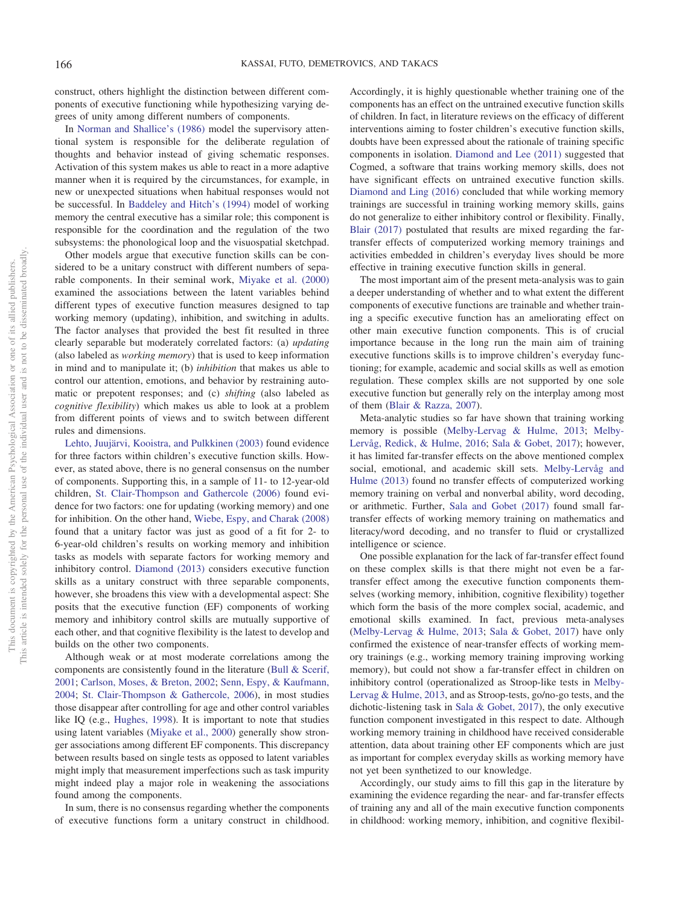construct, others highlight the distinction between different components of executive functioning while hypothesizing varying degrees of unity among different numbers of components.

In [Norman and Shallice's \(1986\)](#page-21-5) model the supervisory attentional system is responsible for the deliberate regulation of thoughts and behavior instead of giving schematic responses. Activation of this system makes us able to react in a more adaptive manner when it is required by the circumstances, for example, in new or unexpected situations when habitual responses would not be successful. In [Baddeley and Hitch's \(1994\)](#page-19-3) model of working memory the central executive has a similar role; this component is responsible for the coordination and the regulation of the two subsystems: the phonological loop and the visuospatial sketchpad.

Other models argue that executive function skills can be considered to be a unitary construct with different numbers of separable components. In their seminal work, [Miyake et al. \(2000\)](#page-21-6) examined the associations between the latent variables behind different types of executive function measures designed to tap working memory (updating), inhibition, and switching in adults. The factor analyses that provided the best fit resulted in three clearly separable but moderately correlated factors: (a) *updating* (also labeled as *working memory*) that is used to keep information in mind and to manipulate it; (b) *inhibition* that makes us able to control our attention, emotions, and behavior by restraining automatic or prepotent responses; and (c) *shifting* (also labeled as *cognitive flexibility*) which makes us able to look at a problem from different points of views and to switch between different rules and dimensions.

[Lehto, Juujärvi, Kooistra, and Pulkkinen \(2003\)](#page-20-2) found evidence for three factors within children's executive function skills. However, as stated above, there is no general consensus on the number of components. Supporting this, in a sample of 11- to 12-year-old children, [St. Clair-Thompson and Gathercole \(2006\)](#page-21-7) found evidence for two factors: one for updating (working memory) and one for inhibition. On the other hand, [Wiebe, Espy, and Charak \(2008\)](#page-21-8) found that a unitary factor was just as good of a fit for 2- to 6-year-old children's results on working memory and inhibition tasks as models with separate factors for working memory and inhibitory control. [Diamond \(2013\)](#page-20-3) considers executive function skills as a unitary construct with three separable components, however, she broadens this view with a developmental aspect: She posits that the executive function (EF) components of working memory and inhibitory control skills are mutually supportive of each other, and that cognitive flexibility is the latest to develop and builds on the other two components.

Although weak or at most moderate correlations among the components are consistently found in the literature [\(Bull & Scerif,](#page-19-4) [2001;](#page-19-4) [Carlson, Moses, & Breton, 2002;](#page-19-5) [Senn, Espy, & Kaufmann,](#page-21-9) [2004;](#page-21-9) [St. Clair-Thompson & Gathercole, 2006\)](#page-21-7), in most studies those disappear after controlling for age and other control variables like IQ (e.g., [Hughes, 1998\)](#page-20-4). It is important to note that studies using latent variables [\(Miyake et al., 2000\)](#page-21-6) generally show stronger associations among different EF components. This discrepancy between results based on single tests as opposed to latent variables might imply that measurement imperfections such as task impurity might indeed play a major role in weakening the associations found among the components.

In sum, there is no consensus regarding whether the components of executive functions form a unitary construct in childhood.

Accordingly, it is highly questionable whether training one of the components has an effect on the untrained executive function skills of children. In fact, in literature reviews on the efficacy of different interventions aiming to foster children's executive function skills, doubts have been expressed about the rationale of training specific components in isolation. [Diamond and Lee \(2011\)](#page-20-5) suggested that Cogmed, a software that trains working memory skills, does not have significant effects on untrained executive function skills. [Diamond and Ling \(2016\)](#page-20-6) concluded that while working memory trainings are successful in training working memory skills, gains do not generalize to either inhibitory control or flexibility. Finally, [Blair \(2017\)](#page-19-6) postulated that results are mixed regarding the fartransfer effects of computerized working memory trainings and activities embedded in children's everyday lives should be more effective in training executive function skills in general.

The most important aim of the present meta-analysis was to gain a deeper understanding of whether and to what extent the different components of executive functions are trainable and whether training a specific executive function has an ameliorating effect on other main executive function components. This is of crucial importance because in the long run the main aim of training executive functions skills is to improve children's everyday functioning; for example, academic and social skills as well as emotion regulation. These complex skills are not supported by one sole executive function but generally rely on the interplay among most of them [\(Blair & Razza, 2007\)](#page-19-2).

Meta-analytic studies so far have shown that training working memory is possible [\(Melby-Lervag & Hulme, 2013;](#page-21-0) [Melby-](#page-21-10)[Lervåg, Redick, & Hulme, 2016;](#page-21-10) [Sala & Gobet, 2017\)](#page-21-1); however, it has limited far-transfer effects on the above mentioned complex social, emotional, and academic skill sets. [Melby-Lervåg and](#page-21-0) [Hulme \(2013\)](#page-21-0) found no transfer effects of computerized working memory training on verbal and nonverbal ability, word decoding, or arithmetic. Further, [Sala and Gobet \(2017\)](#page-21-1) found small fartransfer effects of working memory training on mathematics and literacy/word decoding, and no transfer to fluid or crystallized intelligence or science.

One possible explanation for the lack of far-transfer effect found on these complex skills is that there might not even be a fartransfer effect among the executive function components themselves (working memory, inhibition, cognitive flexibility) together which form the basis of the more complex social, academic, and emotional skills examined. In fact, previous meta-analyses [\(Melby-Lervag & Hulme, 2013;](#page-21-0) [Sala & Gobet, 2017\)](#page-21-1) have only confirmed the existence of near-transfer effects of working memory trainings (e.g., working memory training improving working memory), but could not show a far-transfer effect in children on inhibitory control (operationalized as Stroop-like tests in [Melby-](#page-21-0)[Lervag & Hulme, 2013,](#page-21-0) and as Stroop-tests, go/no-go tests, and the dichotic-listening task in [Sala & Gobet, 2017\)](#page-21-1), the only executive function component investigated in this respect to date. Although working memory training in childhood have received considerable attention, data about training other EF components which are just as important for complex everyday skills as working memory have not yet been synthetized to our knowledge.

Accordingly, our study aims to fill this gap in the literature by examining the evidence regarding the near- and far-transfer effects of training any and all of the main executive function components in childhood: working memory, inhibition, and cognitive flexibil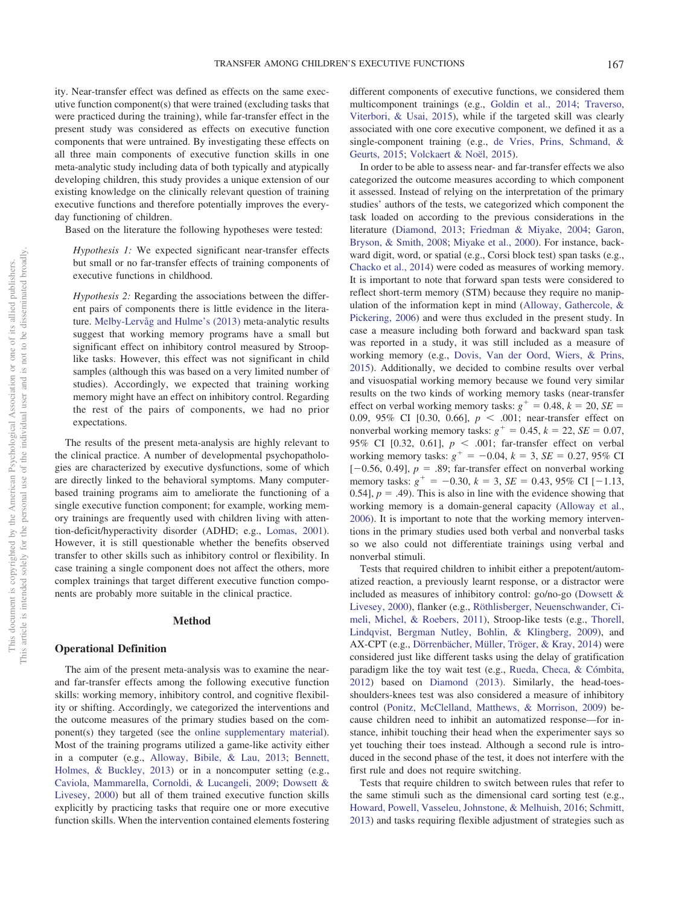ity. Near-transfer effect was defined as effects on the same executive function component(s) that were trained (excluding tasks that were practiced during the training), while far-transfer effect in the present study was considered as effects on executive function components that were untrained. By investigating these effects on all three main components of executive function skills in one meta-analytic study including data of both typically and atypically developing children, this study provides a unique extension of our existing knowledge on the clinically relevant question of training executive functions and therefore potentially improves the everyday functioning of children.

Based on the literature the following hypotheses were tested:

*Hypothesis 1:* We expected significant near-transfer effects but small or no far-transfer effects of training components of executive functions in childhood.

*Hypothesis 2:* Regarding the associations between the different pairs of components there is little evidence in the literature. [Melby-Lervåg and Hulme's \(2013\)](#page-21-0) meta-analytic results suggest that working memory programs have a small but significant effect on inhibitory control measured by Strooplike tasks. However, this effect was not significant in child samples (although this was based on a very limited number of studies). Accordingly, we expected that training working memory might have an effect on inhibitory control. Regarding the rest of the pairs of components, we had no prior expectations.

The results of the present meta-analysis are highly relevant to the clinical practice. A number of developmental psychopathologies are characterized by executive dysfunctions, some of which are directly linked to the behavioral symptoms. Many computerbased training programs aim to ameliorate the functioning of a single executive function component; for example, working memory trainings are frequently used with children living with attention-deficit/hyperactivity disorder (ADHD; e.g., [Lomas, 2001\)](#page-21-11). However, it is still questionable whether the benefits observed transfer to other skills such as inhibitory control or flexibility. In case training a single component does not affect the others, more complex trainings that target different executive function components are probably more suitable in the clinical practice.

### **Method**

### **Operational Definition**

The aim of the present meta-analysis was to examine the nearand far-transfer effects among the following executive function skills: working memory, inhibitory control, and cognitive flexibility or shifting. Accordingly, we categorized the interventions and the outcome measures of the primary studies based on the component(s) they targeted (see the [online supplementary material\)](http://dx.doi.org/10.1037/bul0000180.supp). Most of the training programs utilized a game-like activity either in a computer (e.g., [Alloway, Bibile, & Lau, 2013;](#page-19-7) [Bennett,](#page-19-8) [Holmes, & Buckley, 2013\)](#page-19-8) or in a noncomputer setting (e.g., [Caviola, Mammarella, Cornoldi, & Lucangeli, 2009;](#page-19-9) [Dowsett &](#page-20-7) [Livesey, 2000\)](#page-20-7) but all of them trained executive function skills explicitly by practicing tasks that require one or more executive function skills. When the intervention contained elements fostering

different components of executive functions, we considered them multicomponent trainings (e.g., [Goldin et al., 2014;](#page-20-8) [Traverso,](#page-21-12) [Viterbori, & Usai, 2015\)](#page-21-12), while if the targeted skill was clearly associated with one core executive component, we defined it as a single-component training (e.g., [de Vries, Prins, Schmand, &](#page-20-9) [Geurts, 2015;](#page-20-9) [Volckaert & Noël, 2015\)](#page-21-13).

In order to be able to assess near- and far-transfer effects we also categorized the outcome measures according to which component it assessed. Instead of relying on the interpretation of the primary studies' authors of the tests, we categorized which component the task loaded on according to the previous considerations in the literature [\(Diamond, 2013;](#page-20-3) [Friedman & Miyake, 2004;](#page-20-10) [Garon,](#page-20-11) [Bryson, & Smith, 2008;](#page-20-11) [Miyake et al., 2000\)](#page-21-6). For instance, backward digit, word, or spatial (e.g., Corsi block test) span tasks (e.g., [Chacko et al., 2014\)](#page-19-10) were coded as measures of working memory. It is important to note that forward span tests were considered to reflect short-term memory (STM) because they require no manipulation of the information kept in mind [\(Alloway, Gathercole, &](#page-19-11) [Pickering, 2006\)](#page-19-11) and were thus excluded in the present study. In case a measure including both forward and backward span task was reported in a study, it was still included as a measure of working memory (e.g., [Dovis, Van der Oord, Wiers, & Prins,](#page-20-12) [2015\)](#page-20-12). Additionally, we decided to combine results over verbal and visuospatial working memory because we found very similar results on the two kinds of working memory tasks (near-transfer effect on verbal working memory tasks:  $g^+ = 0.48$ ,  $k = 20$ ,  $SE =$ 0.09, 95% CI [0.30, 0.66],  $p < .001$ ; near-transfer effect on nonverbal working memory tasks:  $g^+ = 0.45$ ,  $k = 22$ ,  $SE = 0.07$ , 95% CI [0.32, 0.61],  $p < .001$ ; far-transfer effect on verbal working memory tasks:  $g^+ = -0.04$ ,  $k = 3$ ,  $SE = 0.27$ , 95% CI  $[-0.56, 0.49]$ ,  $p = .89$ ; far-transfer effect on nonverbal working memory tasks:  $g^+ = -0.30$ ,  $k = 3$ ,  $SE = 0.43$ , 95% CI [-1.13, 0.54],  $p = .49$ ). This is also in line with the evidence showing that working memory is a domain-general capacity [\(Alloway et al.,](#page-19-11) [2006\)](#page-19-11). It is important to note that the working memory interventions in the primary studies used both verbal and nonverbal tasks so we also could not differentiate trainings using verbal and nonverbal stimuli.

Tests that required children to inhibit either a prepotent/automatized reaction, a previously learnt response, or a distractor were included as measures of inhibitory control: go/no-go [\(Dowsett &](#page-20-7) [Livesey, 2000\)](#page-20-7), flanker (e.g., [Röthlisberger, Neuenschwander, Ci](#page-21-14)[meli, Michel, & Roebers, 2011\)](#page-21-14), Stroop-like tests (e.g., [Thorell,](#page-21-15) [Lindqvist, Bergman Nutley, Bohlin, & Klingberg, 2009\)](#page-21-15), and AX-CPT (e.g., [Dörrenbächer, Müller, Tröger, & Kray, 2014\)](#page-20-13) were considered just like different tasks using the delay of gratification paradigm like the toy wait test (e.g., [Rueda, Checa, & Cómbita,](#page-21-16) [2012\)](#page-21-16) based on [Diamond \(2013\).](#page-20-3) Similarly, the head-toesshoulders-knees test was also considered a measure of inhibitory control [\(Ponitz, McClelland, Matthews, & Morrison, 2009\)](#page-21-17) because children need to inhibit an automatized response—for instance, inhibit touching their head when the experimenter says so yet touching their toes instead. Although a second rule is introduced in the second phase of the test, it does not interfere with the first rule and does not require switching.

Tests that require children to switch between rules that refer to the same stimuli such as the dimensional card sorting test (e.g., [Howard, Powell, Vasseleu, Johnstone, & Melhuish, 2016;](#page-20-14) [Schmitt,](#page-21-18) [2013\)](#page-21-18) and tasks requiring flexible adjustment of strategies such as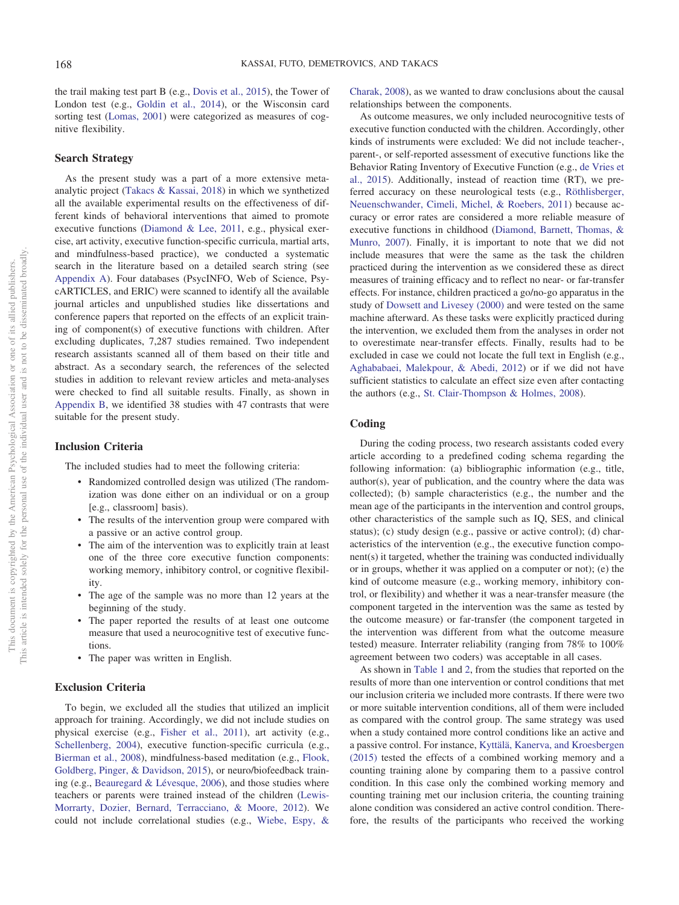the trail making test part B (e.g., [Dovis et al., 2015\)](#page-20-12), the Tower of London test (e.g., [Goldin et al., 2014\)](#page-20-8), or the Wisconsin card sorting test [\(Lomas, 2001\)](#page-21-11) were categorized as measures of cognitive flexibility.

### **Search Strategy**

As the present study was a part of a more extensive metaanalytic project [\(Takacs & Kassai, 2018\)](#page-21-19) in which we synthetized all the available experimental results on the effectiveness of different kinds of behavioral interventions that aimed to promote executive functions [\(Diamond & Lee, 2011,](#page-20-5) e.g., physical exercise, art activity, executive function-specific curricula, martial arts, and mindfulness-based practice), we conducted a systematic search in the literature based on a detailed search string (see [Appendix A\)](#page-22-1). Four databases (PsycINFO, Web of Science, PsycARTICLES, and ERIC) were scanned to identify all the available journal articles and unpublished studies like dissertations and conference papers that reported on the effects of an explicit training of component(s) of executive functions with children. After excluding duplicates, 7,287 studies remained. Two independent research assistants scanned all of them based on their title and abstract. As a secondary search, the references of the selected studies in addition to relevant review articles and meta-analyses were checked to find all suitable results. Finally, as shown in [Appendix B,](#page-23-0) we identified 38 studies with 47 contrasts that were suitable for the present study.

### **Inclusion Criteria**

The included studies had to meet the following criteria:

- Randomized controlled design was utilized (The randomization was done either on an individual or on a group [e.g., classroom] basis).
- The results of the intervention group were compared with a passive or an active control group.
- The aim of the intervention was to explicitly train at least one of the three core executive function components: working memory, inhibitory control, or cognitive flexibility.
- The age of the sample was no more than 12 years at the beginning of the study.
- The paper reported the results of at least one outcome measure that used a neurocognitive test of executive functions.
- The paper was written in English.

### **Exclusion Criteria**

To begin, we excluded all the studies that utilized an implicit approach for training. Accordingly, we did not include studies on physical exercise (e.g., [Fisher et al., 2011\)](#page-20-15), art activity (e.g., [Schellenberg, 2004\)](#page-21-20), executive function-specific curricula (e.g., [Bierman et al., 2008\)](#page-19-0), mindfulness-based meditation (e.g., [Flook,](#page-20-16) [Goldberg, Pinger, & Davidson, 2015\)](#page-20-16), or neuro/biofeedback training (e.g., [Beauregard & Lévesque, 2006\)](#page-19-12), and those studies where teachers or parents were trained instead of the children [\(Lewis-](#page-20-17)[Morrarty, Dozier, Bernard, Terracciano, & Moore, 2012\)](#page-20-17). We could not include correlational studies (e.g., [Wiebe, Espy, &](#page-21-8)

[Charak, 2008\)](#page-21-8), as we wanted to draw conclusions about the causal relationships between the components.

As outcome measures, we only included neurocognitive tests of executive function conducted with the children. Accordingly, other kinds of instruments were excluded: We did not include teacher-, parent-, or self-reported assessment of executive functions like the Behavior Rating Inventory of Executive Function (e.g., [de Vries et](#page-20-9) [al., 2015\)](#page-20-9). Additionally, instead of reaction time (RT), we preferred accuracy on these neurological tests (e.g., [Röthlisberger,](#page-21-14) [Neuenschwander, Cimeli, Michel, & Roebers, 2011\)](#page-21-14) because accuracy or error rates are considered a more reliable measure of executive functions in childhood [\(Diamond, Barnett, Thomas, &](#page-20-18) [Munro, 2007\)](#page-20-18). Finally, it is important to note that we did not include measures that were the same as the task the children practiced during the intervention as we considered these as direct measures of training efficacy and to reflect no near- or far-transfer effects. For instance, children practiced a go/no-go apparatus in the study of [Dowsett and Livesey \(2000\)](#page-20-7) and were tested on the same machine afterward. As these tasks were explicitly practiced during the intervention, we excluded them from the analyses in order not to overestimate near-transfer effects. Finally, results had to be excluded in case we could not locate the full text in English (e.g., [Aghababaei, Malekpour, & Abedi, 2012\)](#page-19-13) or if we did not have sufficient statistics to calculate an effect size even after contacting the authors (e.g., [St. Clair-Thompson & Holmes, 2008\)](#page-21-21).

### **Coding**

During the coding process, two research assistants coded every article according to a predefined coding schema regarding the following information: (a) bibliographic information (e.g., title, author(s), year of publication, and the country where the data was collected); (b) sample characteristics (e.g., the number and the mean age of the participants in the intervention and control groups, other characteristics of the sample such as IQ, SES, and clinical status); (c) study design (e.g., passive or active control); (d) characteristics of the intervention (e.g., the executive function component(s) it targeted, whether the training was conducted individually or in groups, whether it was applied on a computer or not); (e) the kind of outcome measure (e.g., working memory, inhibitory control, or flexibility) and whether it was a near-transfer measure (the component targeted in the intervention was the same as tested by the outcome measure) or far-transfer (the component targeted in the intervention was different from what the outcome measure tested) measure. Interrater reliability (ranging from 78% to 100% agreement between two coders) was acceptable in all cases.

As shown in [Table 1](#page-4-0) and [2,](#page-10-0) from the studies that reported on the results of more than one intervention or control conditions that met our inclusion criteria we included more contrasts. If there were two or more suitable intervention conditions, all of them were included as compared with the control group. The same strategy was used when a study contained more control conditions like an active and a passive control. For instance, [Kyttälä, Kanerva, and Kroesbergen](#page-20-19) [\(2015\)](#page-20-19) tested the effects of a combined working memory and a counting training alone by comparing them to a passive control condition. In this case only the combined working memory and counting training met our inclusion criteria, the counting training alone condition was considered an active control condition. Therefore, the results of the participants who received the working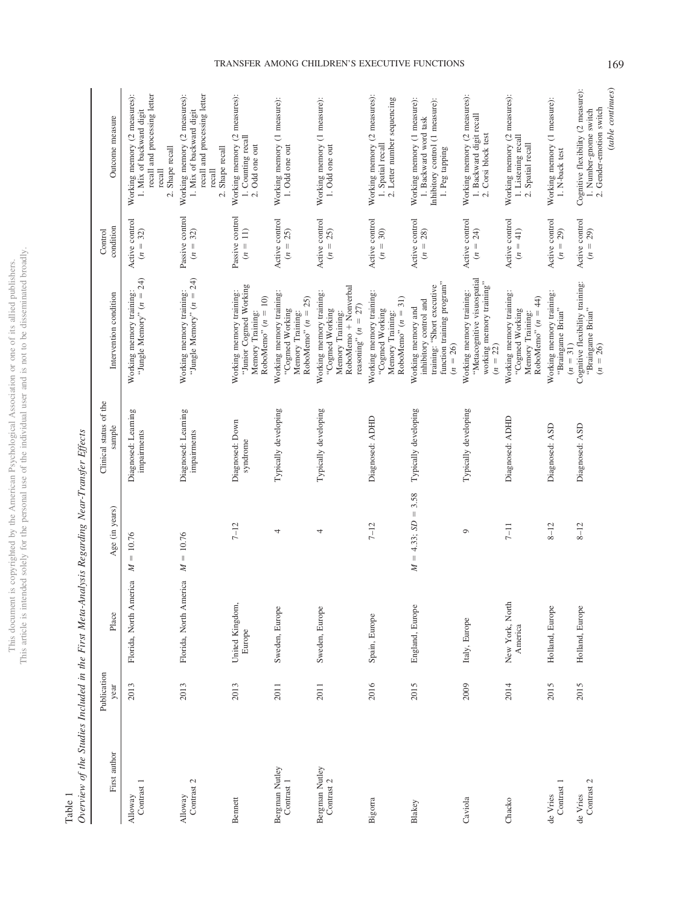|                          | ä,<br>į       |
|--------------------------|---------------|
| j                        | ţ             |
|                          | ł<br>ś        |
| ċ<br>Í<br>j              |               |
|                          |               |
|                          |               |
|                          | J<br>í        |
|                          | ï             |
|                          | I             |
|                          | í             |
| j                        | į             |
|                          | i             |
|                          |               |
|                          |               |
| į                        |               |
|                          |               |
| J                        |               |
|                          |               |
|                          | l             |
| ¢                        |               |
| j                        |               |
|                          |               |
|                          |               |
|                          |               |
|                          |               |
|                          |               |
|                          |               |
|                          | į             |
|                          | é             |
|                          |               |
|                          |               |
|                          |               |
|                          |               |
| č<br>j                   |               |
| í<br>ì<br>l              |               |
| j<br>)<br>ł<br>j         |               |
| ł                        |               |
|                          |               |
| ł                        |               |
|                          |               |
|                          |               |
| ì                        |               |
|                          |               |
| COL                      | õ             |
|                          |               |
| i                        |               |
| $\overline{\phantom{a}}$ |               |
|                          | ţ             |
|                          | C C P         |
|                          |               |
| j                        |               |
| į<br>j                   |               |
|                          |               |
| i                        | j             |
|                          |               |
|                          | ś             |
| S<br>ł<br>i<br>j         | ï             |
| Ś                        |               |
| I<br>I<br>j              | í             |
| <b>MATTEL</b>            | ë             |
|                          |               |
| í<br>I                   |               |
|                          |               |
|                          | j             |
|                          |               |
|                          | $\frac{1}{2}$ |
| š                        |               |
| cime                     | š             |
|                          |               |
|                          |               |
|                          |               |
|                          |               |
|                          |               |
| A DIS                    |               |
|                          | ¢             |
|                          | his           |
|                          |               |
|                          | į<br>I        |
|                          |               |

<span id="page-4-0"></span>Table 1<br>Overview

| $\vdots$<br>š<br>i<br>ׇ֚֘֝֬<br>I<br>$\vdots$<br>j<br>$\mathbf{I}$<br>$\frac{2}{3}$<br>$\overline{\phantom{a}}$<br>I |   |  |
|---------------------------------------------------------------------------------------------------------------------|---|--|
|                                                                                                                     |   |  |
|                                                                                                                     |   |  |
|                                                                                                                     |   |  |
|                                                                                                                     |   |  |
|                                                                                                                     |   |  |
|                                                                                                                     |   |  |
|                                                                                                                     |   |  |
|                                                                                                                     |   |  |
|                                                                                                                     |   |  |
|                                                                                                                     | i |  |

| First author                 | Publication<br>year | Place                      | Age (in years)            | Clinical status of the<br>sample   | Intervention condition                                                                                                 | condition<br>Control                    | Outcome measure                                                                                                       |
|------------------------------|---------------------|----------------------------|---------------------------|------------------------------------|------------------------------------------------------------------------------------------------------------------------|-----------------------------------------|-----------------------------------------------------------------------------------------------------------------------|
| Contrast 1<br>Alloway        | 2013                | Florida, North America     | $= 10.76$<br>$\mathbb{N}$ | Diagnosed: Learning<br>impairments | 24)<br>Working memory training:<br>"Jungle Memory" $(n =$                                                              | Active control<br>$(n = 32)$            | recall and processing letter<br>Working memory (2 measures):<br>1. Mix of backward digit<br>2. Shape recall<br>recall |
| Contrast 2<br>Alloway        | 2013                | Florida, North America     | $M = 10.76$               | Diagnosed: Learning<br>impairments | "Jungle Memory" $(n = 24)$<br>Working memory training:                                                                 | Passive control<br>$(n = 32)$           | recall and processing letter<br>Working memory (2 measures):<br>1. Mix of backward digit<br>2. Shape recall<br>recall |
| <b>B</b> ennett              | 2013                | United Kingdom,<br>Europe  | $7 - 12$                  | Diagnosed: Down<br>syndrome        | "Junior Cogmed Working<br>Working memory training:<br>RoboMemo" $(n = 10)$<br>Memory Training:                         | Passive control<br>$(n = 11)$           | Working memory (2 measures):<br>1. Counting recall<br>2. Odd one out                                                  |
| Bergman Nutley<br>Contrast 1 | 2011                | Sweden, Europe             | 4                         | Typically developing               | Working memory training:<br>RoboMemo" $(n = 25)$<br>"Cogmed Working<br>Memory Training:                                | Active control<br>$(n = 25)$            | Working memory (1 measure):<br>1. Odd one out                                                                         |
| Bergman Nutley<br>Contrast 2 | 2011                | Sweden, Europe             | 4                         | Typically developing               | RoboMemo + Nonverbal<br>Working memory training:<br>reasoning" $(n = 27)$<br>"Cogmed Working<br>Memory Training:       | Active control<br>$(n = 25)$            | Working memory (1 measure):<br>1. Odd one out                                                                         |
| Bigorra                      | 2016                | Spain, Europe              | $7 - 12$                  | Diagnosed: ADHD                    | Working memory training:<br>$RoboMemo" (n = 31)$<br>"Cogmed Working<br>Memory Training:                                | Active control<br>$= 30$<br>$\tilde{c}$ | Working memory (2 measures):<br>2. Letter number sequencing<br>1. Spatial recall                                      |
| Blakey                       | 2015                | England, Europe            | $M = 4.33; SD = 3.58$     | Typically developing               | function training program"<br>training: "Short executive<br>inhibitory control and<br>Working memory and<br>$(n = 26)$ | Active control<br>$(n = 28)$            | Working memory (1 measure):<br>Inhibitory control (1 measure):<br>1. Backward word task<br>1. Peg tapping             |
| Caviola                      | 2009                | Italy, Europe              | 0                         | Typically developing               | "Metacognitive visuospatial<br>working memory training"<br>Working memory training:<br>$(n = 22)$                      | Active control<br>$(n = 24)$            | Working memory (2 measures):<br>1. Backward digit recall<br>2. Corsi block test                                       |
| Chacko                       | 2014                | New York, North<br>America | $7 - 11$                  | Diagnosed: ADHD                    | Working memory training:<br>RoboMemo" $(n = 44)$<br>"Cogmed Working<br>Memory Training:                                | Active control<br>$(n = 41)$            | Working memory (2 measures):<br>1. Listening recall<br>2. Spatial recall                                              |
| Contrast 1<br>de Vries       | 2015                | Holland, Europe            | $8 - 12$                  | Diagnosed: ASD                     | Working memory training:<br>"Braingame Brian"<br>$(n = 31)$                                                            | Active control<br>$(n = 29)$            | Working memory (1 measure):<br>1. N-back test                                                                         |
| Contrast 2<br>de Vries       | 2015                | Holland, Europe            | $8 - 12$                  | Diagnosed: ASD                     | Cognitive flexibility training:<br>"Braingame Brian"<br>$(n = 26)$                                                     | Active control<br>$(n = 29)$            | (table continues)<br>Cognitive flexibility (2 measure):<br>2. Gender-emotion switch<br>1. Number-gnome switch         |

# TRANSFER AMONG CHILDREN'S EXECUTIVE FUNCTIONS 169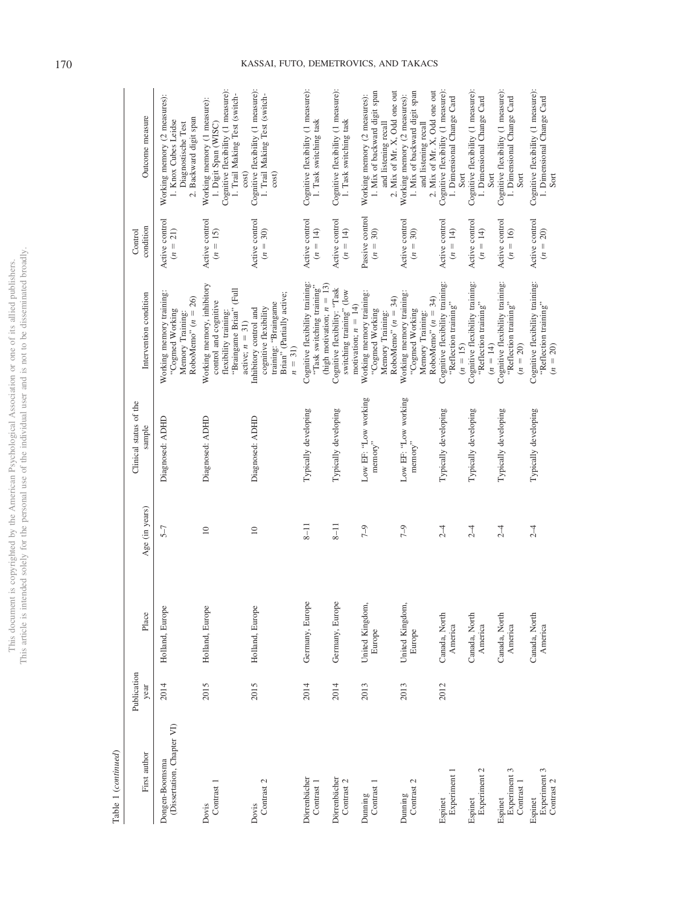|                                | ċ                |
|--------------------------------|------------------|
| $\overline{a}$<br>i            | ł                |
| ä                              |                  |
| ś<br>ļ                         |                  |
|                                |                  |
|                                | í                |
|                                |                  |
|                                |                  |
|                                |                  |
| í                              |                  |
|                                | j                |
|                                |                  |
|                                |                  |
|                                |                  |
|                                |                  |
|                                |                  |
|                                |                  |
|                                |                  |
| Č<br>J                         |                  |
|                                |                  |
| i                              |                  |
|                                |                  |
|                                |                  |
|                                |                  |
|                                |                  |
|                                |                  |
|                                | <b>NOLL</b><br>١ |
|                                |                  |
|                                |                  |
|                                |                  |
|                                |                  |
| ë<br>j                         |                  |
| ì<br>j<br>)                    |                  |
| j                              |                  |
| ì                              |                  |
|                                |                  |
|                                |                  |
|                                |                  |
|                                |                  |
|                                |                  |
|                                |                  |
| ì                              |                  |
| ì                              |                  |
| ì                              |                  |
|                                |                  |
|                                |                  |
|                                | i                |
| $\overline{\phantom{a}}$       |                  |
| j                              |                  |
|                                |                  |
|                                |                  |
|                                |                  |
| ł                              |                  |
| į                              |                  |
| l                              |                  |
| I<br>)                         |                  |
| The property of the con-<br>ij | ï                |
| í                              |                  |
| Í                              |                  |
|                                |                  |
|                                |                  |
|                                |                  |
| ֕                              | l                |
| Ç                              |                  |
|                                |                  |
|                                |                  |
|                                |                  |
|                                |                  |
|                                |                  |
|                                |                  |
| $\frac{1}{2}$                  |                  |
| į                              | j                |
|                                | í                |
|                                | Ī<br>í           |
|                                |                  |

Table 1  $(continued)$ Table 1 (*continued*)

| First author                                 | Publication<br>year | Place                     | Age (in years)  | Clinical status of the<br>sample                         | Intervention condition                                                                                                           | condition<br>Control                | Outcome measure                                                                                                                     |
|----------------------------------------------|---------------------|---------------------------|-----------------|----------------------------------------------------------|----------------------------------------------------------------------------------------------------------------------------------|-------------------------------------|-------------------------------------------------------------------------------------------------------------------------------------|
| (Dissertation, Chapter VI)<br>Dongen-Boomsma | 2014                | Holland, Europe           | $5 - 7$         | Diagnosed: ADHD                                          | Working memory training:<br>RoboMemo" ( $n = 26$ )<br>"Cogmed Working<br>Memory Training:                                        | Active control<br>$(n = 21)$        | Working memory (2 measures):<br>2. Backward digit span<br>1. Knox Cubes Leidse<br>Diagnostische Test                                |
| Contrast 1<br>Dovis                          | 2015                | Holland, Europe           | $\overline{10}$ | Diagnosed: ADHD                                          | Working memory, inhibitory<br>(Full<br>control and cognitive<br>"Braingame Brian"<br>flexibility training:<br>active; $n = 31$ ) | Active control<br>$(n = 15)$        | Cognitive flexibility (1 measure):<br>1. Trail Making Test (switch-<br>Working memory (1 measure):<br>1. Digit Span (WISC)<br>cost) |
| Contrast 2<br>Dovis                          | 2015                | Holland, Europe           | $\approx$       | Diagnosed: ADHD                                          | Brian" (Partially active;<br>training: "Braingame<br>cognitive flexibility<br>Inhibitory control and<br>$n = 31$                 | Active control<br>$(n = 30)$        | Cognitive flexibility (1 measure):<br>1. Trail Making Test (switch-<br>cost)                                                        |
| Dörrenbächer<br>Contrast 1                   | 2014                | Germany, Europe           | $8 - 11$        | Typically developing                                     | Cognitive flexibility training:<br>"Task switching training"<br>(high motivation; $n = 13$ )                                     | Active control<br>$(n = 14)$        | Cognitive flexibility (1 measure):<br>1. Task switching task                                                                        |
| Dörrenbächer<br>Contrast <sub>2</sub>        | 2014                | Germany, Europe           | $8 - 11$        | Typically developing                                     | Cognitive flexibility: "Task<br>switching training" (low<br>motivation; $n = 14$ )                                               | Active control<br>$(n = 14)$        | Cognitive flexibility (1 measure):<br>1. Task switching task                                                                        |
| Contrast 1<br>Dunning                        | 2013                | United Kingdom,<br>Europe | $7 - 9$         | Low EF: "Low working<br>$\mathrm{memory}^{\prime\prime}$ | Working memory training:<br>RoboMemo" $(n = 34)$<br>"Cogmed Working<br>Memory Training:                                          | Passive control<br>30)<br>$(n = 1)$ | 1. Mix of backward digit span<br>2. Mix of Mr. X, Odd one out<br>Working memory (2 measures):<br>and listening recall               |
| Contrast 2<br>Dunning                        | 2013                | United Kingdom,<br>Europe | $7 - 9$         | Low EF: "Low working<br>$\rm{memory}$ "                  | Working memory training:<br>RoboMemo" $(n = 34)$<br>"Cogmed Working<br>Memory Training:                                          | Active control<br>30)<br>$(n = 1)$  | and listening recall<br>2. Mix of Mr. X, Odd one out<br>1. Mix of backward digit span<br>Working memory (2 measures):               |
| Experiment 1<br>Espinet                      | 2012                | Canada, North<br>America  | $2-4$           | Typically developing                                     | Cognitive flexibility training:<br>"Reflection training"<br>$(n = 15)$                                                           | Active control<br>$(n = 14)$        | Cognitive flexibility (1 measure):<br>1. Dimensional Change Card<br>Sort                                                            |
| Experiment 2<br>Espinet                      |                     | Canada, North<br>America  | $\overline{1}$  | Typically developing                                     | Cognitive flexibility training:<br>"Reflection training"<br>$(n = 14)$                                                           | Active control<br>$(n = 14)$        | Cognitive flexibility (1 measure):<br>1. Dimensional Change Card<br>Sort                                                            |
| Experiment 3<br>Contrast 1<br>Espinet        |                     | Canada, North<br>America  | 2 <sub>1</sub>  | Typically developing                                     | Cognitive flexibility training:<br>"Reflection training"<br>$(n = 20)$                                                           | Active control<br>$(n = 16)$        | Cognitive flexibility (1 measure):<br>1. Dimensional Change Card<br>Sort                                                            |
| Experiment 3<br>Contrast 2<br>Espinet        |                     | Canada, North<br>America  | $\overline{1}$  | Typically developing                                     | Cognitive flexibility training:<br>"Reflection training"<br>$(n = 20)$                                                           | Active control<br>$n = 1$           | Cognitive flexibility (1 measure):<br>1. Dimensional Change Card<br>Sort                                                            |

# 170 KASSAI, FUTO, DEMETROVICS, AND TAKACS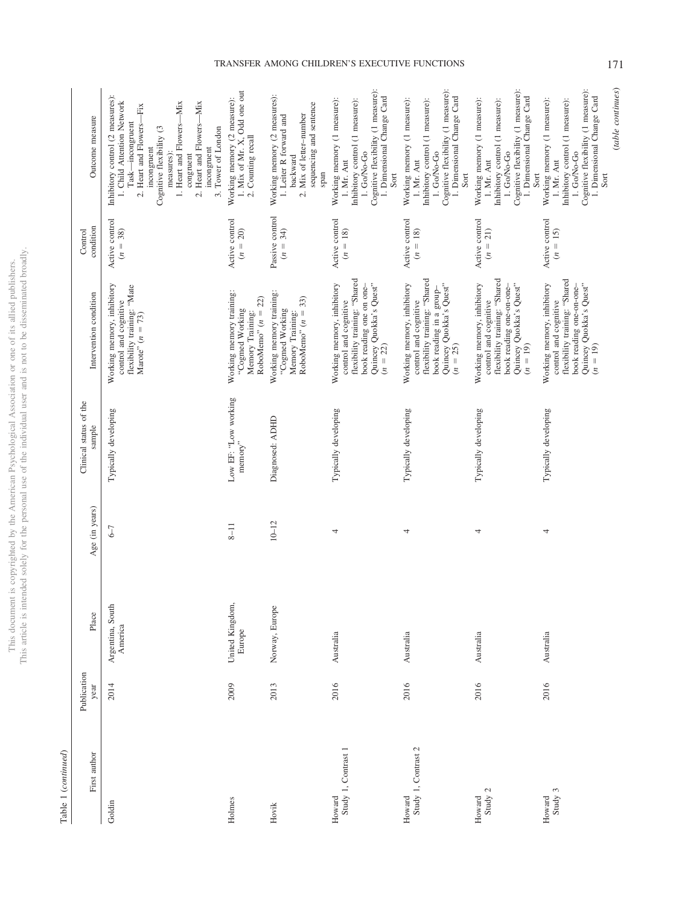This document is copyrighted by the American Psychological Association or one of its allied publishers.<br>This article is intended solely for the personal use of the individual user and is not to be disseminated broadly. This article is intended solely for the personal use of the individual user and is not to be disseminated broadly. This document is copyrighted by the American Psychological Association or one of its allied publishers.

> Table 1 (continued) Table 1 (*continued*)

| First author                  | Publication<br>year | Place                       | Age (in years) | Clinical status of the<br>sample                         | Intervention condition                                                                                                                                    | condition<br>Control                    | Outcome measure                                                                                                                                                                                                                                                                   |
|-------------------------------|---------------------|-----------------------------|----------------|----------------------------------------------------------|-----------------------------------------------------------------------------------------------------------------------------------------------------------|-----------------------------------------|-----------------------------------------------------------------------------------------------------------------------------------------------------------------------------------------------------------------------------------------------------------------------------------|
| Goldin                        | 2014                | Argentina, South<br>America | 5–9            | Typically developing                                     | Working memory, inhibitory<br>flexibility training: "Mate<br>control and cognitive<br>Marote" $(n = 73)$                                                  | Active control<br>$(n = 38)$            | Inhibitory control (2 measures):<br>2. Heart and Flowers-Mix<br>1. Child Attention Network<br>1. Heart and Flowers-Mix<br>2. Heart and Flowers-Fix<br>Task-incongruent<br>Cognitive flexibility (3<br>3. Tower of London<br>incongruent<br>incongruent<br>measures):<br>congruent |
| Holmes                        | 2009                | United Kingdom,<br>Europe   | $8 - 11$       | Low EF: "Low working<br>$\mathrm{memory}^{\prime\prime}$ | Working memory training:<br>RoboMemo" $(n = 22)$<br>"Cogmed Working<br>Memory Training:                                                                   | Active control<br>$(n = 20)$            | 1. Mix of Mr. X, Odd one out<br>Working memory (2 measure):<br>2. Counting recall                                                                                                                                                                                                 |
| Hovik                         | 2013                | Norway, Europe              | $10 - 12$      | Diagnosed: ADHD                                          | Working memory training:<br>Memory Training:<br>RoboMemo" ( $n = 33$ )<br>"Cogmed Working                                                                 | Passive control<br>$(n = 34)$           | Working memory (2 measures):<br>sequencing and sentence<br>2. Mix of letter-number<br>1. Leiter R forward and<br>backward<br>span                                                                                                                                                 |
| Study 1, Contrast 1<br>Howard | 2016                | Australia                   | 4              | Typically developing                                     | flexibility training: "Shared<br>Quincey Quokka's Quest"<br>Working memory, inhibitory<br>book reading one on one-<br>control and cognitive<br>$(n = 22)$ | Active control<br>$(n = 18)$            | Cognitive flexibility (1 measure):<br>1. Dimensional Change Card<br>Working memory (1 measure):<br>Inhibitory control (1 measure):<br>$1.$ ${\rm GoNo\hbox{-}Go}$<br>1. Mr. Ant<br>Sort                                                                                           |
| Study 1, Contrast 2<br>Howard | 2016                | Australia                   | 4              | Typically developing                                     | flexibility training: "Shared<br>Quincey Quokka's Quest"<br>Working memory, inhibitory<br>book reading in a group-<br>control and cognitive<br>$(n = 25)$ | Active control<br>$= 18$<br>$\tilde{c}$ | Cognitive flexibility (1 measure):<br>1. Dimensional Change Card<br>Working memory (1 measure):<br>Inhibitory control (1 measure):<br>1. Go/No-Go<br>1. Mr. Ant<br>Sort                                                                                                           |
| Study 2<br>Howard             | 2016                | Australia                   | 4              | Typically developing                                     | flexibility training: "Shared<br>Quincey Quokka's Quest"<br>Working memory, inhibitory<br>book reading one-on-one-<br>control and cognitive<br>$(n = 19)$ | Active control<br>$(n = 21)$            | Cognitive flexibility (1 measure):<br>1. Dimensional Change Card<br>Working memory (1 measure):<br>Inhibitory control (1 measure):<br>1. Go/No-Go<br>1. Mr. Ant<br>Sort                                                                                                           |
| Study 3<br>Howard             | 2016                | Australia                   | 4              | Typically developing                                     | flexibility training: "Shared<br>Quincey Quokka's Quest"<br>$(n = 19)$<br>Working memory, inhibitory<br>book reading one-on-one-<br>control and cognitive | Active control<br>$= 15$<br>$\tilde{c}$ | Cognitive flexibility (1 measure):<br>1. Dimensional Change Card<br>Working memory (1 measure):<br>Inhibitory control (1 measure):<br>$1.$ ${\rm GoNo-Go}$<br>$1.$ Mr. Ant $\,$<br>Sort                                                                                           |

# TRANSFER AMONG CHILDREN'S EXECUTIVE FUNCTIONS 171

(*table continues*)

(table continues)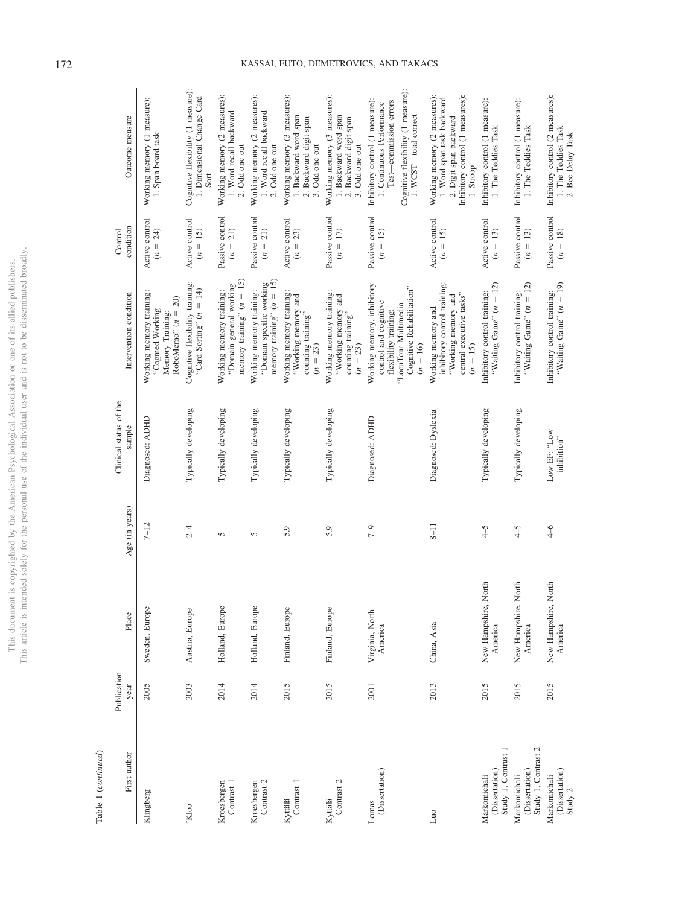|                          | ś                 |
|--------------------------|-------------------|
| j                        | $\frac{1}{2}$     |
| č<br>Í                   |                   |
|                          |                   |
| ł                        |                   |
| i                        | j                 |
|                          |                   |
|                          | j                 |
|                          |                   |
|                          |                   |
| ì                        | ï                 |
|                          | j                 |
|                          |                   |
|                          | ţ                 |
| ì                        |                   |
|                          |                   |
| J                        |                   |
|                          |                   |
|                          |                   |
|                          |                   |
|                          |                   |
|                          |                   |
|                          |                   |
|                          |                   |
|                          |                   |
|                          |                   |
|                          |                   |
|                          |                   |
|                          | usei              |
|                          |                   |
|                          |                   |
|                          |                   |
|                          |                   |
| ç                        |                   |
|                          |                   |
|                          |                   |
| )                        |                   |
| ì                        |                   |
|                          |                   |
|                          |                   |
| $\frac{1}{2}$            |                   |
|                          |                   |
|                          |                   |
| ì                        | c                 |
| <b>NOV</b>               |                   |
|                          |                   |
| ì                        |                   |
|                          |                   |
|                          |                   |
|                          |                   |
|                          | <b>CONTRACTOR</b> |
|                          |                   |
| 3<br>$\mathbf{\hat{C}}$  |                   |
|                          |                   |
|                          |                   |
|                          |                   |
|                          |                   |
|                          |                   |
| į<br>ł                   |                   |
| ś                        |                   |
| 1<br>)                   |                   |
| C any variation of<br>ij |                   |
|                          |                   |
| í                        |                   |
|                          |                   |
| i                        |                   |
|                          |                   |
|                          |                   |
|                          |                   |
|                          |                   |
| Š                        |                   |
|                          |                   |
|                          |                   |
|                          |                   |
|                          |                   |
|                          | ĵ                 |
| i                        |                   |
| į                        |                   |
| į                        |                   |
|                          | i10               |
|                          | i                 |
|                          |                   |

Table 1 (continued) Table 1 (*continued*)

| First author                                          | Publication<br>year | Place                                | Age (in years) | Clinical status of the<br>sample | Intervention condition                                                                                                                          | condition<br>Control                    | Outcome measure                                                                                                                                       |
|-------------------------------------------------------|---------------------|--------------------------------------|----------------|----------------------------------|-------------------------------------------------------------------------------------------------------------------------------------------------|-----------------------------------------|-------------------------------------------------------------------------------------------------------------------------------------------------------|
| Klingberg                                             | 2005                | Sweden, Europe                       | $7 - 12$       | Diagnosed: ADHD                  | Working memory training:<br>RoboMemo" $(n = 20)$<br>"Cogmed Working<br>Memory Training:                                                         | Active control<br>$(n = 24)$            | Working memory (1 measure):<br>1. Span board task                                                                                                     |
| 'Kloo                                                 | 2003                | Austria, Europe                      | $2-4$          | Typically developing             | Cognitive flexibility training:<br>"Card Sorting" $(n = 14)$                                                                                    | Active control<br>$(n = 15)$            | Cognitive flexibility (1 measure):<br>1. Dimensional Change Card<br>Sort                                                                              |
| Kroesbergen<br>Contrast 1                             | 2014                | Holland, Europe                      | 5              | Typically developing             | memory training" $(n = 15)$<br>"Domain general working<br>Working memory training:                                                              | Passive control<br>$(n = 21)$           | Working memory (2 measures):<br>1. Word recall backward<br>2. Odd one out                                                                             |
| Contrast 2<br>Kroesbergen                             | 2014                | Holland, Europe                      | 5              | Typically developing             | memory training" $(n = 15)$<br>"Domain specific working<br>Working memory training:                                                             | Passive control<br>21)<br>$n =$         | Working memory (2 measures):<br>1. Word recall backward<br>2. Odd one out                                                                             |
| Contrast 1<br>Kyttälä                                 | 2015                | Finland, Europe                      | 5.9            | Typically developing             | Working memory training:<br>"Working memory and<br>counting training"<br>$(n = 23)$                                                             | Active control<br>$(n = 23)$            | Working memory (3 measures):<br>1. Backward word span<br>2. Backward digit span<br>3. Odd one out                                                     |
| Contrast 2<br>Kyttälä                                 | 2015                | Finland, Europe                      | 5.9            | Typically developing             | Working memory training:<br>"Working memory and<br>counting training"<br>$(n = 23)$                                                             | Passive control<br>$(n = 17)$           | Working memory (3 measures):<br>1. Backward word span<br>2. Backward digit span<br>3. Odd one out                                                     |
| (Dissertation)<br>Lomas                               | 2001                | Virginia, North<br>America           | $7 - 9$        | Diagnosed: ADHD                  | Working memory, inhibitory<br>Cognitive Rehabilitation"<br>control and cognitive<br>"LocuTour Multimedia<br>flexibility training:<br>$(n = 16)$ | Passive control<br>$(n = 15)$           | Cognitive flexibility (1 measure):<br>Inhibitory control (1 measure):<br>Test-commission errors<br>1. Continuous Performance<br>1. WCST-total correct |
| $\sin$                                                | 2013                | China, Asia                          | $8 - 11$       | Diagnosed: Dyslexia              | inhibitory control training:<br>central executive tasks"<br>"Working memory and<br>Working memory and<br>$(n = 15)$                             | Active control<br>$(n = 15)$            | Working memory (2 measures):<br>Inhibitory control (1 measures):<br>1. Word span task backward<br>2. Digit span backward<br>1. Stroop                 |
| Study 1, Contrast 1<br>(Dissertation)<br>Markomichali | 2015                | lorth<br>New Hampshire, N<br>America | $\overline{4}$ | Typically developing             | "Waiting Game" $(n = 12)$<br>Inhibitory control training:                                                                                       | Active control<br>$= 13$<br>$\tilde{z}$ | Inhibitory control (1 measure):<br>1. The Teddies Task                                                                                                |
| Study 1, Contrast 2<br>(Dissertation)<br>Markomichali | 2015                | lorth<br>New Hampshire, N<br>America | $4-5$          | Typically developing             | "Waiting Game" $(n = 12)$<br>Inhibitory control training:                                                                                       | Passive control<br>$(n = 13)$           | Inhibitory control (1 measure):<br>1. The Teddies Task                                                                                                |
| (Dissertation)<br>Markomichali<br>Study 2             | 2015                | lorth<br>New Hampshire, N<br>America | $rac{4}{6}$    | Low EF: "Low<br>inhibition"      | "Waiting Game" $(n = 19)$<br>Inhibitory control training:                                                                                       | Passive control<br>$(n = 18)$           | Inhibitory control (2 measures):<br>1. The Teddies Task<br>2. Bee Delay Task                                                                          |

# 172 KASSAI, FUTO, DEMETROVICS, AND TAKACS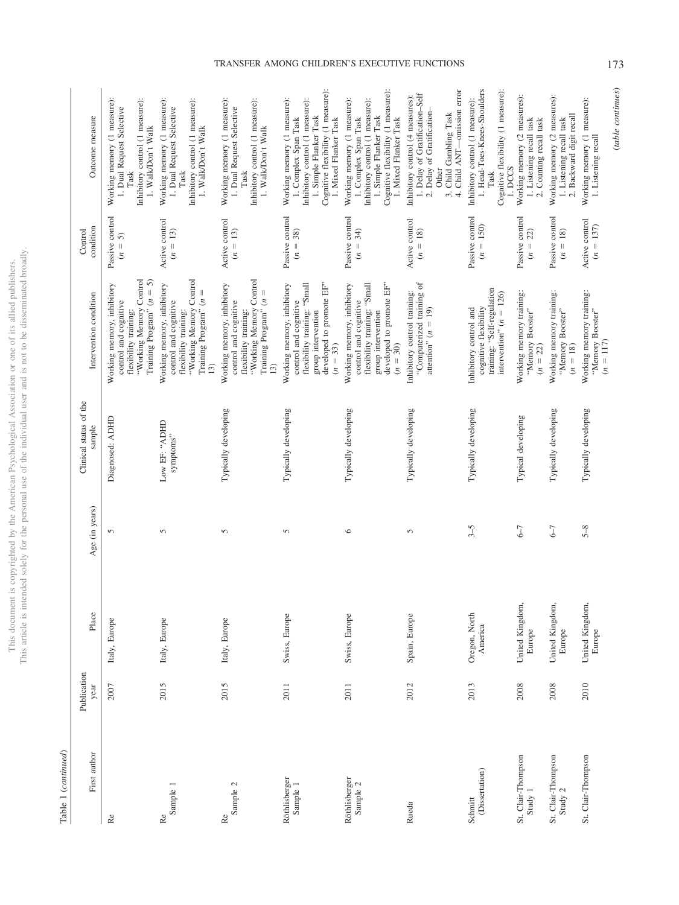|                        | j                        |
|------------------------|--------------------------|
| i                      |                          |
| ţ                      |                          |
| ś                      |                          |
| Ī                      |                          |
|                        |                          |
|                        | j                        |
|                        |                          |
|                        |                          |
|                        | í                        |
| Í                      |                          |
|                        |                          |
|                        |                          |
|                        |                          |
|                        |                          |
|                        |                          |
|                        |                          |
|                        |                          |
|                        |                          |
|                        |                          |
| ì                      |                          |
| l                      |                          |
|                        |                          |
|                        |                          |
|                        |                          |
|                        |                          |
|                        |                          |
|                        | i.                       |
|                        |                          |
|                        |                          |
|                        | i c                      |
|                        |                          |
|                        |                          |
|                        | ï                        |
|                        |                          |
|                        |                          |
| č<br>ĭ                 | j                        |
| ì                      |                          |
| j<br>j                 |                          |
| j<br>í                 |                          |
|                        | $\frac{1}{2}$            |
|                        |                          |
|                        |                          |
|                        |                          |
|                        |                          |
|                        |                          |
|                        |                          |
|                        |                          |
|                        |                          |
| ï                      | ļ                        |
| i<br>I                 |                          |
|                        |                          |
|                        |                          |
| s<br>S                 | į                        |
|                        |                          |
|                        |                          |
|                        | is control.              |
| j                      | l                        |
|                        |                          |
| ï                      |                          |
| j                      | $\overline{\phantom{a}}$ |
|                        | ĵ                        |
| j                      | ł                        |
|                        |                          |
|                        |                          |
| ļ<br>J                 |                          |
|                        | j                        |
|                        |                          |
| í                      |                          |
| the state of the state |                          |
|                        | ١                        |
|                        |                          |
|                        | Ì                        |
|                        | j                        |
|                        | í                        |
| Í                      |                          |
| $\frac{1}{2}$          |                          |
|                        |                          |
|                        |                          |
|                        |                          |
|                        |                          |
|                        | $\overline{a}$           |
|                        |                          |
| hic                    |                          |
| i                      |                          |
|                        |                          |
|                        | $\frac{c}{1}$<br>i<br>ł  |

 $Table~1~(continued)$ Table 1 (*continued*)

| First author                  | Publication<br>year | Place                     | Age (in years) | Clinical status of the<br>sample | Intervention condition                                                                                                                              | condition<br>Control                      | Outcome measure                                                                                                                                                                 |
|-------------------------------|---------------------|---------------------------|----------------|----------------------------------|-----------------------------------------------------------------------------------------------------------------------------------------------------|-------------------------------------------|---------------------------------------------------------------------------------------------------------------------------------------------------------------------------------|
| Re                            | 2007                | Italy, Europe             | 5              | Diagnosed: ADHD                  | "Working Memory Control<br>Training Program" $(n = 5)$<br>Working memory, inhibitory<br>control and cognitive<br>flexibility training:              | Passive control<br>5<br>$n =$             | Working memory (1 measure):<br>Inhibitory control (1 measure):<br>1. Dual Request Selective<br>1. Walk/Don't Walk<br>Task                                                       |
| Sample 1<br>Re                | 2015                | Italy, Europe             | 5              | Low EF: "ADHD<br>symptoms"       | "Working Memory Control<br>Working memory, inhibitory<br>Training Program" (n<br>control and cognitive<br>flexibility training:<br>13)              | Active control<br>$(n = 13)$              | Working memory (1 measure):<br>Inhibitory control (1 measure):<br>1. Dual Request Selective<br>1. Walk/Don't Walk<br>Task                                                       |
| $\mbox{Re}$ Sample 2          | 2015                | Italy, Europe             | 5              | Typically developing             | "Working Memory Control<br>Working memory, inhibitory<br>Training Program" $(n =$<br>control and cognitive<br>flexibility training:<br>13)          | Active control<br>$= 13$<br>$\tilde{c}$   | Working memory (1 measure):<br>Inhibitory control (1 measure):<br>1. Dual Request Selective<br>1. Walk/Don't Walk<br>Task                                                       |
| Röthlisberger<br>Sample 1     | 2011                | Swiss, Europe             | 5              | Typically developing             | flexibility training: "Small<br>developed to promote EF"<br>Working memory, inhibitory<br>control and cognitive<br>group intervention<br>$(n = 33)$ | Passive control<br>$(n = 38)$             | Cognitive flexibility (1 measure):<br>Working memory (1 measure):<br>Inhibitory control (1 measure):<br>1. Simple Flanker Task<br>1. Complex Span Task<br>I. Mixed Flanker Task |
| Röthlisberger<br>Sample $2$   | 2011                | Swiss, Europe             | $\circ$        | Typically developing             | flexibility training: "Small<br>developed to promote EF"<br>Working memory, inhibitory<br>control and cognitive<br>group intervention<br>$(n = 30)$ | Passive control<br>$(n = 34)$             | Cognitive flexibility (1 measure):<br>Working memory (1 measure):<br>Inhibitory control (1 measure):<br>1. Simple Flanker Task<br>1. Complex Span Task<br>1. Mixed Flanker Task |
| Rueda                         | 2012                | Spain, Europe             | 5              | Typically developing             | "Computerized training of<br>Inhibitory control training:<br>attention" $(n = 19)$                                                                  | Active control<br>$= 18$<br>$\tilde{c}$   | 4. Child ANT-omission error<br>1. Delay of Gratification-Self<br>Inhibitory control (4 measures):<br>2. Delay of Gratification-<br>3. Child Gambling Task<br>Other              |
| (Dissertation)<br>Schmitt     | 2013                | Oregon, North<br>America  | $3-5$          | Typically developing             | training: "Self-regulation<br>intervention" ( $n = 126$ )<br>cognitive flexibility<br>Inhibitory control and                                        | Passive control<br>$= 150$<br>$\tilde{z}$ | 1. Head-Toes-Knees-Shoulders<br>Cognitive flexibility (1 measure):<br>Inhibitory control (1 measure):<br>i. DCCS<br>Task                                                        |
| St. Clair-Thompson<br>Study 1 | 2008                | United Kingdom,<br>Europe | $-2$           | Typical developing               | Working memory training:<br>"Memory Booster"<br>$(n = 22)$                                                                                          | Passive control<br>22)<br>$\tilde{z}$     | Working memory (2 measures):<br>1. Listening recall task<br>2. Counting recall task                                                                                             |
| St. Clair-Thompson<br>Study 2 | 2008                | United Kingdom,<br>Europe | $6 - 7$        | Typically developing             | Working memory training:<br>"Memory Booster"<br>$(n = 18)$                                                                                          | Passive control<br>$(n = 18)$             | Working memory (2 measures):<br>2. Backward digit recall<br>1. Listening recall task                                                                                            |
| St. Clair-Thompson            | 2010                | United Kingdom,<br>Europe | $5 - 8$        | Typically developing             | Working memory training:<br>"Memory Booster"<br>$(n = 117)$                                                                                         | Active control<br>$(n = 137)$             | Working memory (1 measure):<br>1. Listening recall                                                                                                                              |

# TRANSFER AMONG CHILDREN'S EXECUTIVE FUNCTIONS 173

(*table continues*)

(table continues)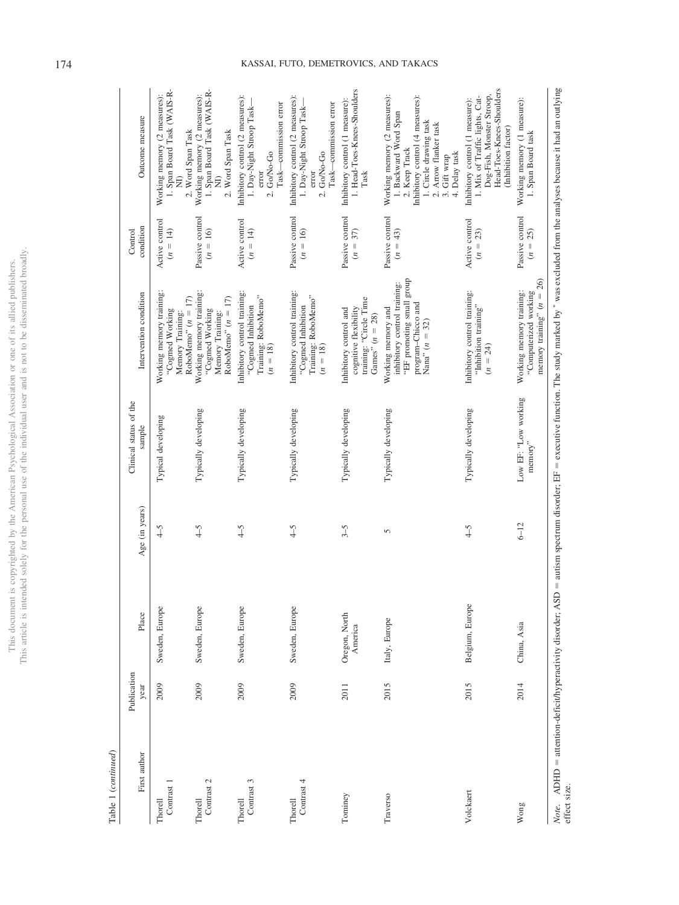| Ş<br>í          | ¢<br>ï                              |
|-----------------|-------------------------------------|
| ¢               |                                     |
| j               |                                     |
|                 |                                     |
| į               |                                     |
|                 |                                     |
|                 |                                     |
|                 |                                     |
| ŀ               |                                     |
|                 |                                     |
|                 |                                     |
|                 | ĵ                                   |
|                 |                                     |
|                 |                                     |
|                 |                                     |
|                 |                                     |
|                 |                                     |
|                 |                                     |
|                 |                                     |
|                 |                                     |
|                 |                                     |
|                 |                                     |
|                 |                                     |
|                 |                                     |
|                 |                                     |
|                 | CO <sub>1</sub>                     |
|                 |                                     |
|                 |                                     |
|                 | ï                                   |
|                 |                                     |
|                 |                                     |
| ç               | ֖֖֖֖֖֖֚֚֚֚֚֚֚֚֚֚֚֚֚֚֚֚֚֚֡֬ <b>֓</b> |
| j<br>j          |                                     |
|                 |                                     |
|                 |                                     |
|                 |                                     |
|                 |                                     |
|                 |                                     |
|                 |                                     |
|                 |                                     |
|                 |                                     |
| ë               | Ì                                   |
|                 |                                     |
| i<br>i          |                                     |
|                 |                                     |
|                 |                                     |
|                 |                                     |
|                 |                                     |
|                 |                                     |
|                 |                                     |
|                 | ĕ                                   |
|                 | Į                                   |
|                 | Ċ<br>j                              |
|                 | ì                                   |
| j               |                                     |
|                 |                                     |
|                 |                                     |
| ì               |                                     |
|                 |                                     |
|                 | ١                                   |
|                 |                                     |
|                 |                                     |
| mann            |                                     |
|                 |                                     |
|                 |                                     |
|                 |                                     |
|                 |                                     |
|                 |                                     |
|                 | $\frac{1}{2}$                       |
| $\overline{ms}$ | j                                   |
|                 |                                     |
| į<br>í          | j                                   |
|                 | :<br>ا                              |
|                 | ĺ<br>i                              |
|                 |                                     |

Table 1 (continued) Table 1 (*continued*)

| First author          | Publication<br>year | Place                                                | Age (in years)                   | Clinical status of the<br>sample | Intervention condition                                                                                                    | condition<br>Control            | Outcome measure                                                                                                                                                                                |
|-----------------------|---------------------|------------------------------------------------------|----------------------------------|----------------------------------|---------------------------------------------------------------------------------------------------------------------------|---------------------------------|------------------------------------------------------------------------------------------------------------------------------------------------------------------------------------------------|
| Contrast 1<br>Thorell | 2009                | Sweden, Europe                                       | $\begin{array}{c} 4 \end{array}$ | Typical developing               | Working memory training:<br>RoboMemo" $(n = 17)$<br>"Cogmed Working<br>Memory Training:                                   | Active control<br>$(n = 14)$    | 1. Span Board Task (WAIS-R-<br>Working memory (2 measures):<br>2. Word Span Task<br>$\widehat{\Xi}$                                                                                            |
| Contrast 2<br>Thorell | 2009                | Sweden, Europe                                       | $4 - 5$                          | Typically developing             | Working memory training:<br>RoboMemo" $(n = 17)$<br>"Cogmed Working<br>Memory Training:                                   | Passive control<br>$(n = 16)$   | 1. Span Board Task (WAIS-R-<br>Working memory (2 measures):<br>2. Word Span Task<br>$\widehat{\mathbf{z}}$                                                                                     |
| Contrast 3<br>Thorell | 2009                | Sweden, Europe                                       | $4-5$                            | Typically developing             | Inhibitory control training:<br>Training: RoboMemo"<br>"Cogmed Inhibition<br>$(n = 18)$                                   | Active control<br>$(n = 14)$    | Inhibitory control (2 measures):<br>Task-commission error<br>1. Day-Night Stroop Task-<br>2. Go/No-Go<br>error                                                                                 |
| Contrast 4<br>Thorell | 2009                | Sweden, Europe                                       | $4-5$                            | Typically developing             | Inhibitory control training:<br>Training: RoboMemo"<br>"Cogmed Inhibition<br>$(n = 18)$                                   | Passive control<br>$(n = 16)$   | Inhibitory control (2 measures):<br>1. Day-Night Stroop Task-<br>Task-commission error<br>2. Go/No-Go<br>error                                                                                 |
| Tominey               | 2011                | Oregon, North<br>America                             | $3 - 5$                          | Typically developing             | training: "Circle Time<br>cognitive flexibility<br>Inhibitory control and<br>Games" ( $n = 28$ )                          | Passive control<br>$(n = 37)$   | 1. Head-Toes-Knees-Shoulders<br>Inhibitory control (1 measure):<br>Task                                                                                                                        |
| Traverso              | 2015                | Italy, Europe                                        | 5                                | Typically developing             | "EF promoting small group<br>inhibitory control training:<br>program-Chicco and<br>Working memory and<br>Nana" $(n = 32)$ | Passive control<br>$(n = 43)$   | Working memory (2 measures):<br>Inhibitory control (4 measures):<br>1. Backward Word Span<br>1. Circle drawing task<br>2. Arrow flanker task<br>2. Keep Track<br>4. Delay task<br>3. Gift wrap |
| Volckaert             | 2015                | Belgium, Europe                                      | $4-5$                            | Typically developing             | Inhibitory control training:<br>"Inhibition training"<br>$(n = 24)$                                                       | Active control<br>$(n = 23)$    | Head-Toes-Knees-Shoulders<br>Dog-Fish, Monster Stroop,<br>1. Mix of Traffic lights, Cat-<br>Inhibitory control (1 measure):<br>(Inhibition factor)                                             |
| Wong                  | 2014                | China, Asia                                          | $6 - 12$                         | Low EF: "Low working<br>memory"  | memory training" $(n = 26)$<br>Working memory training:<br>"Computerized working                                          | Passive control<br>25)<br>$n =$ | Working memory (1 measure):<br>1. Span Board task                                                                                                                                              |
| effect size.<br>Note. |                     | ADHD = attention-deficit/hyperactivity disorder; ASD |                                  |                                  |                                                                                                                           |                                 | = autism spectrum disorder; EF = executive function. The study marked by * was excluded from the analyses because it had an outlying                                                           |

# 174 KASSAI, FUTO, DEMETROVICS, AND TAKACS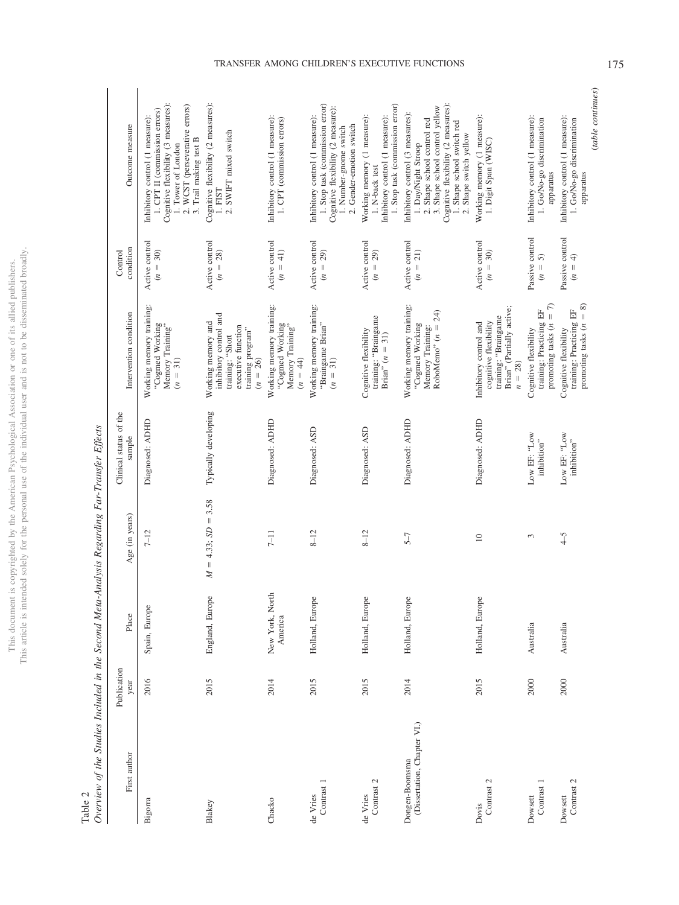| i<br>ò             |                    |
|--------------------|--------------------|
| ċ                  |                    |
| ī                  |                    |
|                    |                    |
|                    |                    |
|                    | í                  |
|                    |                    |
|                    |                    |
|                    |                    |
| í                  |                    |
|                    |                    |
|                    | t                  |
|                    |                    |
|                    |                    |
|                    |                    |
|                    |                    |
|                    |                    |
|                    |                    |
|                    |                    |
|                    |                    |
|                    |                    |
|                    |                    |
|                    |                    |
|                    |                    |
|                    |                    |
|                    |                    |
| Š<br>ļ             | ţ                  |
|                    |                    |
|                    |                    |
|                    | į                  |
|                    |                    |
| ł                  |                    |
|                    |                    |
|                    |                    |
| j                  |                    |
| ç<br>3             |                    |
|                    |                    |
| I                  |                    |
| )<br>١             |                    |
| ł                  |                    |
| I                  |                    |
|                    |                    |
|                    |                    |
| i                  |                    |
|                    |                    |
|                    |                    |
|                    |                    |
|                    |                    |
|                    |                    |
| ë                  | ń                  |
| ì                  | <b>NOLL</b>        |
|                    |                    |
|                    |                    |
|                    |                    |
|                    |                    |
|                    |                    |
|                    |                    |
|                    |                    |
|                    |                    |
| $\frac{1}{2}$      |                    |
|                    | ï                  |
|                    |                    |
|                    |                    |
| d<br>ì             |                    |
| l                  |                    |
| ē<br>I<br>)        |                    |
|                    |                    |
|                    |                    |
| 多少的<br>¢<br>ï      |                    |
| ¢                  |                    |
|                    |                    |
|                    |                    |
|                    |                    |
| i                  |                    |
| ļ                  | $\frac{1}{2}$      |
| j                  |                    |
|                    |                    |
|                    |                    |
|                    |                    |
| $\frac{1}{2}$      |                    |
|                    |                    |
|                    | $\frac{1}{2}$      |
|                    |                    |
|                    |                    |
| $\frac{1}{2}$<br>į |                    |
|                    |                    |
|                    | hıc<br>Ë<br>į<br>í |

<span id="page-10-0"></span>

|        | i<br>j |
|--------|--------|
|        |        |
|        |        |
|        |        |
|        |        |
|        |        |
|        |        |
|        |        |
|        |        |
|        |        |
|        |        |
| l<br>Ē | ١      |

| Overview of the Studies Included in the Second Meta-Analysis Regarding Far-Transfer Effects<br>Table 2 |                     |                            |                                        |                                  |                                                                                                                           |                                               |                                                                                                                                                                                                                         |
|--------------------------------------------------------------------------------------------------------|---------------------|----------------------------|----------------------------------------|----------------------------------|---------------------------------------------------------------------------------------------------------------------------|-----------------------------------------------|-------------------------------------------------------------------------------------------------------------------------------------------------------------------------------------------------------------------------|
| First author                                                                                           | Publication<br>year | Place                      | Age (in years)                         | Clinical status of the<br>sample | Intervention condition                                                                                                    | condition<br>Control                          | Outcome measure                                                                                                                                                                                                         |
| Bigorra                                                                                                | 2016                | Spain, Europe              | $7 - 12$                               | Diagnosed: ADHD                  | Working memory training:<br>"Cogned Working"<br>Memory Training"<br>$(n = 31)$                                            | Active control<br>$(n = 30)$                  | Cognitive flexibility (3 measures):<br>2. WCST (perseverative errors)<br>1. CPT II (commission errors)<br>Inhibitory control (1 measure):<br>3. Trail making test B<br>1. Tower of London                               |
| Blakey                                                                                                 | 2015                | England, Europe            | 3.58<br>$= 4.33; SD =$<br>$\mathbb{Z}$ | Typically developing             | inhibitory control and<br>Working memory and<br>executive function<br>training program"<br>training: "Short<br>$(n = 26)$ | Active control<br>$(n = 28)$                  | Cognitive flexibility (2 measures):<br>1. FIST<br>2. SWIFT mixed switch                                                                                                                                                 |
| Chacko                                                                                                 | 2014                | New York, North<br>America | $7 - 11$                               | Diagnosed: ADHD                  | Working memory training:<br>"Cogned Working"<br>Memory Training"<br>$(n = 44)$                                            | Active control<br>$(n = 41)$                  | Inhibitory control (1 measure):<br>1. CPT (commission errors)                                                                                                                                                           |
| Contrast 1<br>de Vries                                                                                 | 2015                | Holland, Europe            | $8 - 12$                               | Diagnosed: ASD                   | Working memory training:<br>"Braingame Brian"<br>$(n = 31)$                                                               | Active control<br>$(n = 29)$                  | 1. Stop task (commission error)<br>Cognitive flexibility (2 measure):<br>Inhibitory control (1 measure):<br>2. Gender-emotion switch<br>1. Number-gnome switch                                                          |
| Contrast 2<br>de Vries                                                                                 | 2015                | Holland, Europe            | $8 - 12$                               | Diagnosed: ASD                   | training: "Braingame<br>Cognitive flexibility<br>Brian" $(n = 31)$                                                        | Active control<br>29)<br>$(n = 1)$            | 1. Stop task (commission error)<br>Working memory (1 measure):<br>Inhibitory control (1 measure):<br>$1.$ N-back test $\,$                                                                                              |
| (Dissertation, Chapter VI.)<br>Dongen-Boomsma                                                          | 2014                | Holland, Europe            | $5-7$                                  | Diagnosed: ADHD                  | Working memory training:<br>24)<br>"Cogmed Working<br>Memory Training:<br>RoboMemo" ( $n =$                               | Active control<br>21)<br>$(n =$               | Cognitive flexibility (2 measures):<br>3. Shape school control yellow<br>Inhibitory control (3 measures):<br>2. Shape school control red<br>1. Shape school switch red<br>2. Shape switch yellow<br>1. Day/Night Stroop |
| Contrast 2<br>Dovis                                                                                    | 2015                | Holland, Europe            | $\approx$                              | Diagnosed: ADHD                  | Brian" (Partially active;<br>training: "Braingame<br>cognitive flexibility<br>Inhibitory control and<br>$n = 28$          | Active control<br>$(n = 30)$                  | Working memory (1 measure):<br>1. Digit Span (WISC)                                                                                                                                                                     |
| Contrast 1<br>Dowsett                                                                                  | 2000                | Australia                  | 3                                      | Low EF: "Low<br>inhibition"      | $= 7$<br>training: Practicing EF<br>promoting tasks $(n$<br>Cognitive flexibility                                         | Passive control<br>5<br>$n =$                 | Inhibitory control (1 measure):<br>1. Go/No-go discrimination<br>apparatus                                                                                                                                              |
| Contrast 2<br>Dowsett                                                                                  | 2000                | Australia                  | $\zeta$                                | Low EF: "Low<br>inhibition"      | promoting tasks $(n = 8)$<br>training: Practicing EF<br>Cognitive flexibility                                             | Passive control<br>$\widehat{+}$<br>$(n = 1)$ | Inhibitory control (1 measure):<br>1. Go/No-go discrimination<br>apparatus                                                                                                                                              |

# TRANSFER AMONG CHILDREN'S EXECUTIVE FUNCTIONS 175

(*table continues*)

 $\qquad \qquad (table~continues)$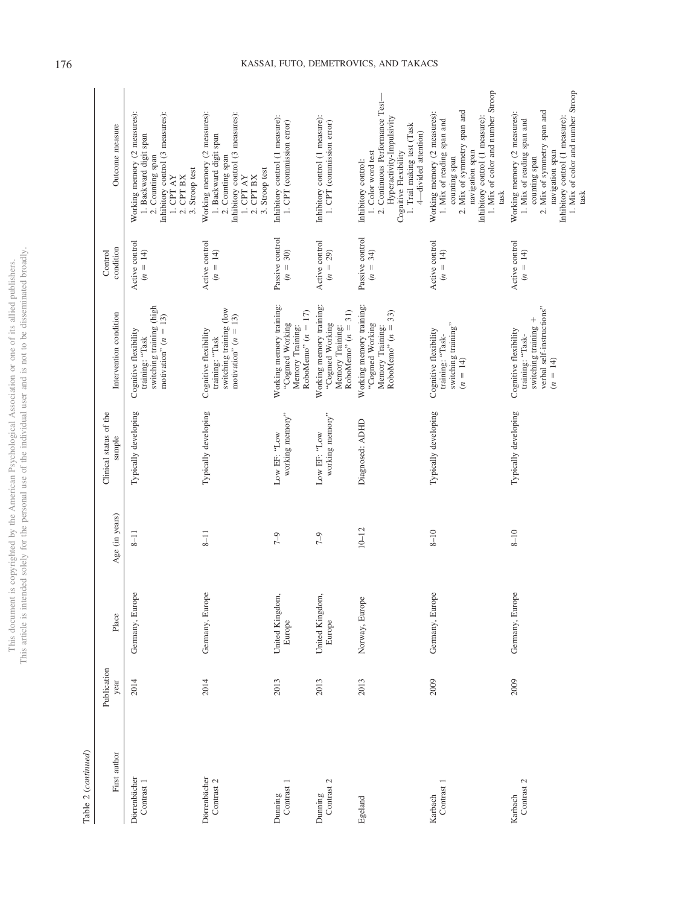|                         | j              |
|-------------------------|----------------|
|                         |                |
| í<br>ċ                  |                |
| ś                       |                |
|                         |                |
| ζ                       |                |
|                         | j              |
|                         | í<br>ì         |
|                         |                |
|                         |                |
|                         |                |
|                         |                |
|                         |                |
|                         | i              |
|                         | I              |
|                         | ļ              |
|                         |                |
| ì                       |                |
|                         | j              |
|                         |                |
|                         |                |
|                         |                |
| o un                    |                |
|                         |                |
|                         |                |
| ١                       |                |
|                         |                |
|                         |                |
| č<br>١                  |                |
|                         |                |
|                         |                |
| j                       |                |
|                         | j              |
|                         | 11/10/11       |
|                         |                |
|                         |                |
|                         |                |
|                         |                |
|                         |                |
| ć                       |                |
| j                       |                |
| I<br>J<br>j             |                |
| j                       |                |
| ì                       |                |
| ł<br>l                  |                |
| j                       |                |
| $\frac{1}{2}$           | ś              |
|                         |                |
|                         |                |
|                         |                |
|                         |                |
|                         |                |
|                         |                |
|                         |                |
| ë<br>ï                  |                |
|                         |                |
| é                       |                |
| ţ                       | ¢              |
|                         |                |
|                         |                |
|                         |                |
|                         |                |
| ì<br>ç                  |                |
| ÷                       |                |
|                         |                |
|                         | S<br>ł         |
|                         |                |
|                         |                |
| ź<br>$\mathbf{\hat{C}}$ | $\overline{ }$ |
|                         |                |
| ż                       |                |
| ł<br>J<br>j             | ï              |
|                         |                |
|                         |                |
| <b>Lut / A.</b><br>í    |                |
| I                       |                |
|                         |                |
|                         |                |
|                         |                |
|                         |                |
|                         | l              |
| Ś                       |                |
|                         |                |
| i<br>S                  |                |
|                         |                |
|                         |                |
|                         |                |
|                         |                |
|                         |                |
|                         |                |
| İ                       |                |
| į                       |                |
| j                       | ï              |
|                         |                |
|                         | i              |

 $Table~2~(continued)$ Table 2 (*continued*)

| First author               | Publication<br>year | Place                    | Age (in years) | Clinical status of the<br>sample | Intervention condition                                                                                       | condition<br>Control             | Outcome measure                                                                                                                                                                                               |
|----------------------------|---------------------|--------------------------|----------------|----------------------------------|--------------------------------------------------------------------------------------------------------------|----------------------------------|---------------------------------------------------------------------------------------------------------------------------------------------------------------------------------------------------------------|
| Dörrenbächer<br>Contrast 1 | 2014                | Germany, Europe          | $\overline{1}$ | Typically developing             | switching training (high<br>motivation" $(n = 13)$<br>Cognitive flexibility<br>training: "Task               | Active control<br>$(n = 14)$     | Working memory (2 measures):<br>Inhibitory control (3 measures):<br>1. Backward digit span<br>2. Counting span<br>3. Stroop test<br>$1.$ CPT AY $\,$<br>$2.$ CPT $BX$                                         |
| Dörrenbächer<br>Contrast 2 | 2014                | Germany, Europe          | $8 - 11$       | Typically developing             | switching training (low<br>motivation" $(n = 13)$<br>Cognitive flexibility<br>training: "Task                | Active control<br>$(n = 14)$     | Working memory (2 measures):<br>Inhibitory control (3 measures):<br>1. Backward digit span<br>2. Counting span<br>3. Stroop test<br>$1.$ CPT AY $\,$<br>2. CPT BX                                             |
| Contrast 1<br>Dunning      | 2013                | United Kingdom<br>Europe | $7 - 9$        | working memory"<br>Low EF: "Low  | Working memory training:<br>RoboMemo" $(n = 17)$<br>"Cogmed Working<br>Memory Training:                      | Passive control<br>$(n = 30)$    | Inhibitory control (1 measure):<br>1. CPT (commission error)                                                                                                                                                  |
| Contrast 2<br>Dunning      | 2013                | United Kingdom<br>Europe | $7 - 9$        | working memory"<br>Low EF: "Low  | Working memory training:<br>RoboMemo" $(n = 31)$<br>"Cogmed Working<br>Memory Training:                      | Active control<br>29)<br>$(n =$  | Inhibitory control (1 measure):<br>1. CPT (commission error)                                                                                                                                                  |
| Egeland                    | 2013                | Norway, Europe           | $10 - 12$      | Diagnosed: ADHD                  | Working memory training:<br>RoboMemo" $(n = 33)$<br>"Cogmed Working<br>Memory Training:                      | Passive control<br>34)<br>$(n =$ | 2. Continuous Performance Test-<br>Hyperactivity-Impulsivity<br>1. Trail making test (Task<br>4-divided attention)<br>Cognitive Flexibility<br>1. Color word test<br>Inhibitory control:                      |
| Contrast 1<br>Karbach      | 2009                | Germany, Europe          | $8 - 10$       | Typically developing             | switching training"<br>Cognitive flexibility<br>training: "Task-<br>$(n = 14)$                               | Active control<br>$(n = 14)$     | 1. Mix of color and number Stroop<br>2. Mix of symmetry span and<br>Working memory (2 measures):<br>Inhibitory control (1 measure):<br>1. Mix of reading span and<br>navigation span<br>counting span<br>task |
| Contrast 2<br>Karbach      | 2009                | Germany, Europe          | $8 - 10$       | Typically developing             | verbal self-instructions"<br>switching training +<br>Cognitive flexibility<br>training: "Task-<br>$(n = 14)$ | Active control<br>$(n = 14)$     | 1. Mix of color and number Stroop<br>2. Mix of symmetry span and<br>Working memory (2 measures):<br>Inhibitory control (1 measure):<br>1. Mix of reading span and<br>navigation span<br>counting span<br>task |

# 176 KASSAI, FUTO, DEMETROVICS, AND TAKACS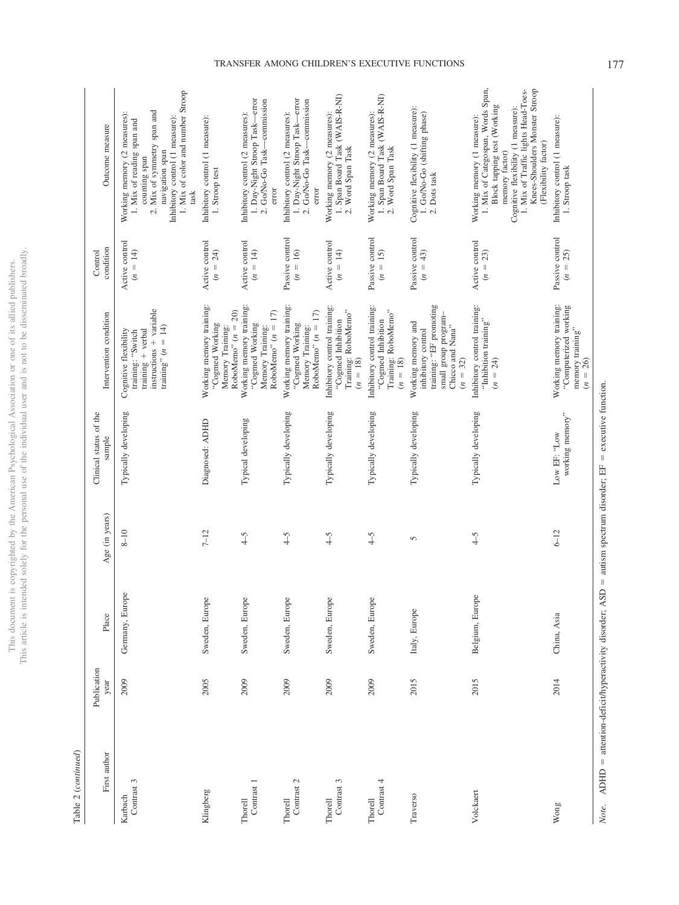|                  | ĵ                        |
|------------------|--------------------------|
|                  |                          |
| ì                | i                        |
| į<br>é<br>ä<br>j |                          |
|                  |                          |
| ī                |                          |
| J                |                          |
|                  |                          |
|                  |                          |
|                  |                          |
|                  |                          |
| į                | Ċ<br>١<br>ï              |
|                  | ו<br>ו<br>ï              |
|                  |                          |
| į                |                          |
| í                |                          |
|                  |                          |
|                  |                          |
| <b>OT OTL</b>    |                          |
|                  |                          |
|                  |                          |
|                  |                          |
|                  |                          |
| S                |                          |
| j                |                          |
| ¢                |                          |
|                  |                          |
| ł                | user                     |
| ţ<br>ï           |                          |
|                  | ¢                        |
|                  | y<br>j                   |
|                  |                          |
| <b>PAPI</b><br>2 |                          |
| Í<br>)           |                          |
| ï<br>ś           |                          |
| ì                |                          |
|                  |                          |
| C Links          |                          |
|                  |                          |
| l                |                          |
|                  |                          |
|                  | Se                       |
| i                |                          |
| Aricon P<br>į    |                          |
| s<br>S<br>S      | i                        |
|                  |                          |
|                  | Se C                     |
|                  |                          |
| the              |                          |
|                  |                          |
|                  |                          |
|                  |                          |
|                  | Ï<br>١                   |
| 5<br>ĩ           | ì                        |
| ì<br>š           |                          |
| I<br>j           | ۰<br>ï                   |
| <b>CONTRACT</b>  | ź                        |
|                  |                          |
| ì<br>5           |                          |
|                  | $\overline{\phantom{a}}$ |
|                  |                          |
|                  |                          |
| Ē                | itan                     |
| ì                |                          |
|                  |                          |
| <b>Contract</b>  |                          |
|                  |                          |
| j                | j                        |
|                  | į<br>з                   |
| his              |                          |
|                  | ŧ<br>¢                   |
| ł                | his                      |
|                  |                          |
|                  | ĺ<br>j                   |
|                  |                          |

Table 2  $\left( continued\right)$ Table 2 (*continued*)

| First author          | Publication<br>year | Place           | Age (in years)   | Clinical status of the<br>sample | Intervention condition                                                                                                        | condition<br>Control                    | Outcome measure                                                                                                                                                                                                                                          |
|-----------------------|---------------------|-----------------|------------------|----------------------------------|-------------------------------------------------------------------------------------------------------------------------------|-----------------------------------------|----------------------------------------------------------------------------------------------------------------------------------------------------------------------------------------------------------------------------------------------------------|
| Contrast 3<br>Karbach | 2009                | Germany, Europe | $8 - 10$         | Typically developing             | instructions + variable<br>training" $(n = 14)$<br>training + verbal<br>Cognitive flexibility<br>training: "Switch            | Active control<br>$(n = 14)$            | 1. Mix of color and number Stroop<br>2. Mix of symmetry span and<br>Working memory (2 measures):<br>Inhibitory control (1 measure):<br>1. Mix of reading span and<br>navigation span<br>counting span<br>task                                            |
| Klingberg             | 2005                | Sweden, Europe  | $7 - 12$         | Diagnosed: ADHD                  | Working memory training:<br>Memory Training:<br>RoboMemo <sup>r</sup> ( $n = 20$ )<br>"Cogmed Working                         | Active control<br>$= 24$<br>$\ddot{z}$  | Inhibitory control (1 measure):<br>1. Stroop test                                                                                                                                                                                                        |
| Contrast 1<br>Thorell | 2009                | Sweden, Europe  | $\widetilde{-}4$ | Typical developing               | Working memory training:<br>RoboMemo" $(n = 17)$<br>"Cogmed Working<br>Memory Training:                                       | Active control<br>$(n = 14)$            | 1. Day-Night Stroop Task-error<br>-commission<br>Inhibitory control (2 measures):<br>2. Go/No-Go Task-<br>error                                                                                                                                          |
| Contrast 2<br>Thorell | 2009                | Sweden, Europe  | $\zeta$          | Typically developing             | Working memory training:<br>RoboMemo" $(n = 17)$<br>"Cogmed Working<br>Memory Training:                                       | Passive control<br>$(n = 16)$           | 1. Day-Night Stroop Task-error<br>2. Go/No-Go Task-commission<br>Inhibitory control (2 measures):<br>error                                                                                                                                               |
| Contrast 3<br>Thorell | 2009                | Sweden, Europe  | $-5$             | Typically developing             | Inhibitory control training:<br>Training: RoboMemo"<br>"Cogmed Inhibition<br>$(n = 18)$                                       | Active control<br>$= 14$<br>$\tilde{z}$ | 1. Span Board Task (WAIS-R-NI)<br>Working memory (2 measures):<br>2. Word Span Task                                                                                                                                                                      |
| Contrast 4<br>Thorell | 2009                | Sweden, Europe  | $\widetilde{-}$  | Typically developing             | Inhibitory control training:<br>Training: RoboMemo"<br>"Cogmed Inhibition<br>$(n = 18)$                                       | Passive control<br>$(n = 15)$           | 1. Span Board Task (WAIS-R-NI)<br>Working memory (2 measures):<br>2. Word Span Task                                                                                                                                                                      |
| Traverso              | 2015                | Italy, Europe   | 5                | Typically developing             | training: "EF promoting<br>small group program-<br>Working memory and<br>Chicco and Nana"<br>inhibitory control<br>$(n = 32)$ | Passive control<br>$(n = 43)$           | Cognitive flexibility (1 measure):<br>1. Go/No-Go (shifting phase)<br>2. Dots task                                                                                                                                                                       |
| Volckaert             | 2015                | Belgium, Europe | $\zeta$          | Typically developing             | Inhibitory control training:<br>"Inhibition training"<br>$(n = 24)$                                                           | Active control<br>$(n = 23)$            | 1. Mix of Categospan, Words Span,<br>Knees-Shoulders Monster Stroop<br>1. Mix of Traffic lights Head-Toes-<br>Block tapping test (Working<br>Cognitive flexibility (1 measure):<br>Working memory (1 measure):<br>(Flexibility factor)<br>memory factor) |
| Wong                  | 2014                | China, Asia     | $6 - 12$         | working memory"<br>Low EF: "Low  | Working memory training:<br>"Computerized working<br>memory training"<br>$(n = 26)$                                           | Passive control<br>$(n = 25)$           | Inhibitory control (1 measure):<br>1. Stroop task                                                                                                                                                                                                        |

# *Note.* ADHD attention-deficit/hyperactivity disorder; ASD autism spectrum disorder; EF executive function.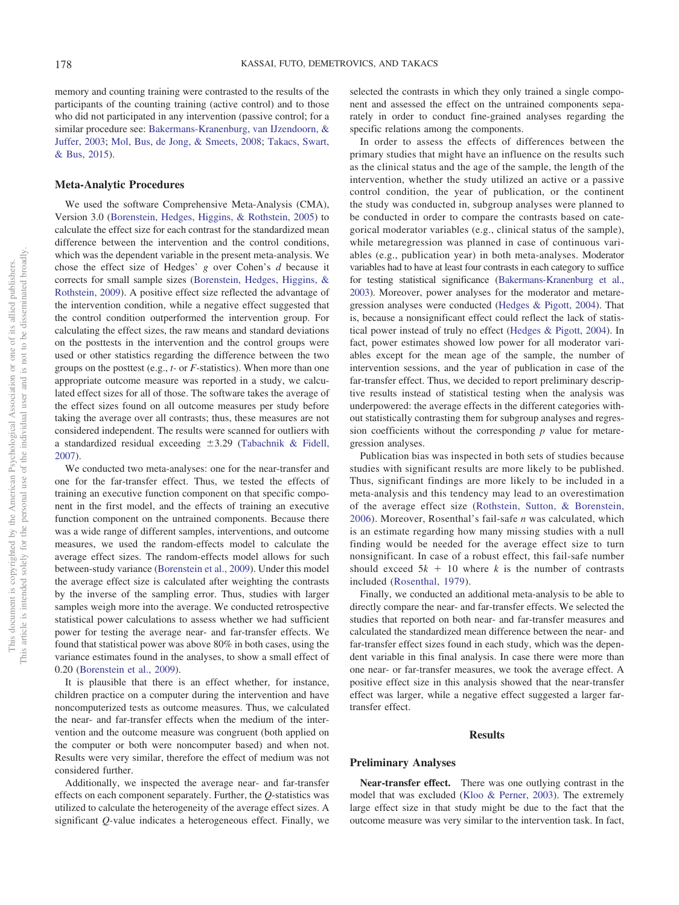memory and counting training were contrasted to the results of the participants of the counting training (active control) and to those who did not participated in any intervention (passive control; for a similar procedure see: [Bakermans-Kranenburg, van IJzendoorn, &](#page-19-14) [Juffer, 2003;](#page-19-14) [Mol, Bus, de Jong, & Smeets, 2008;](#page-21-22) [Takacs, Swart,](#page-21-23) [& Bus, 2015\)](#page-21-23).

### **Meta-Analytic Procedures**

We used the software Comprehensive Meta-Analysis (CMA), Version 3.0 [\(Borenstein, Hedges, Higgins, & Rothstein, 2005\)](#page-19-15) to calculate the effect size for each contrast for the standardized mean difference between the intervention and the control conditions, which was the dependent variable in the present meta-analysis. We chose the effect size of Hedges' *g* over Cohen's *d* because it corrects for small sample sizes [\(Borenstein, Hedges, Higgins, &](#page-19-16) [Rothstein, 2009\)](#page-19-16). A positive effect size reflected the advantage of the intervention condition, while a negative effect suggested that the control condition outperformed the intervention group. For calculating the effect sizes, the raw means and standard deviations on the posttests in the intervention and the control groups were used or other statistics regarding the difference between the two groups on the posttest (e.g., *t-* or *F-*statistics). When more than one appropriate outcome measure was reported in a study, we calculated effect sizes for all of those. The software takes the average of the effect sizes found on all outcome measures per study before taking the average over all contrasts; thus, these measures are not considered independent. The results were scanned for outliers with a standardized residual exceeding  $\pm 3.29$  [\(Tabachnik & Fidell,](#page-21-24) [2007\)](#page-21-24).

We conducted two meta-analyses: one for the near-transfer and one for the far-transfer effect. Thus, we tested the effects of training an executive function component on that specific component in the first model, and the effects of training an executive function component on the untrained components. Because there was a wide range of different samples, interventions, and outcome measures, we used the random-effects model to calculate the average effect sizes. The random-effects model allows for such between-study variance [\(Borenstein et al., 2009\)](#page-19-16). Under this model the average effect size is calculated after weighting the contrasts by the inverse of the sampling error. Thus, studies with larger samples weigh more into the average. We conducted retrospective statistical power calculations to assess whether we had sufficient power for testing the average near- and far-transfer effects. We found that statistical power was above 80% in both cases, using the variance estimates found in the analyses, to show a small effect of 0.20 [\(Borenstein et al., 2009\)](#page-19-16).

It is plausible that there is an effect whether, for instance, children practice on a computer during the intervention and have noncomputerized tests as outcome measures. Thus, we calculated the near- and far-transfer effects when the medium of the intervention and the outcome measure was congruent (both applied on the computer or both were noncomputer based) and when not. Results were very similar, therefore the effect of medium was not considered further.

Additionally, we inspected the average near- and far-transfer effects on each component separately. Further, the *Q*-statistics was utilized to calculate the heterogeneity of the average effect sizes. A significant *Q-*value indicates a heterogeneous effect. Finally, we

selected the contrasts in which they only trained a single component and assessed the effect on the untrained components separately in order to conduct fine-grained analyses regarding the specific relations among the components.

In order to assess the effects of differences between the primary studies that might have an influence on the results such as the clinical status and the age of the sample, the length of the intervention, whether the study utilized an active or a passive control condition, the year of publication, or the continent the study was conducted in, subgroup analyses were planned to be conducted in order to compare the contrasts based on categorical moderator variables (e.g., clinical status of the sample), while metaregression was planned in case of continuous variables (e.g., publication year) in both meta-analyses. Moderator variables had to have at least four contrasts in each category to suffice for testing statistical significance [\(Bakermans-Kranenburg et al.,](#page-19-14) [2003\)](#page-19-14). Moreover, power analyses for the moderator and metaregression analyses were conducted [\(Hedges & Pigott, 2004\)](#page-20-20). That is, because a nonsignificant effect could reflect the lack of statistical power instead of truly no effect [\(Hedges & Pigott, 2004\)](#page-20-20). In fact, power estimates showed low power for all moderator variables except for the mean age of the sample, the number of intervention sessions, and the year of publication in case of the far-transfer effect. Thus, we decided to report preliminary descriptive results instead of statistical testing when the analysis was underpowered: the average effects in the different categories without statistically contrasting them for subgroup analyses and regression coefficients without the corresponding *p* value for metaregression analyses.

Publication bias was inspected in both sets of studies because studies with significant results are more likely to be published. Thus, significant findings are more likely to be included in a meta-analysis and this tendency may lead to an overestimation of the average effect size [\(Rothstein, Sutton, & Borenstein,](#page-21-25) [2006\)](#page-21-25). Moreover, Rosenthal's fail-safe *n* was calculated, which is an estimate regarding how many missing studies with a null finding would be needed for the average effect size to turn nonsignificant. In case of a robust effect, this fail-safe number should exceed  $5k + 10$  where *k* is the number of contrasts included [\(Rosenthal, 1979\)](#page-21-26).

Finally, we conducted an additional meta-analysis to be able to directly compare the near- and far-transfer effects. We selected the studies that reported on both near- and far-transfer measures and calculated the standardized mean difference between the near- and far-transfer effect sizes found in each study, which was the dependent variable in this final analysis. In case there were more than one near- or far-transfer measures, we took the average effect. A positive effect size in this analysis showed that the near-transfer effect was larger, while a negative effect suggested a larger fartransfer effect.

### **Results**

### **Preliminary Analyses**

**Near-transfer effect.** There was one outlying contrast in the model that was excluded [\(Kloo & Perner, 2003\)](#page-20-21). The extremely large effect size in that study might be due to the fact that the outcome measure was very similar to the intervention task. In fact,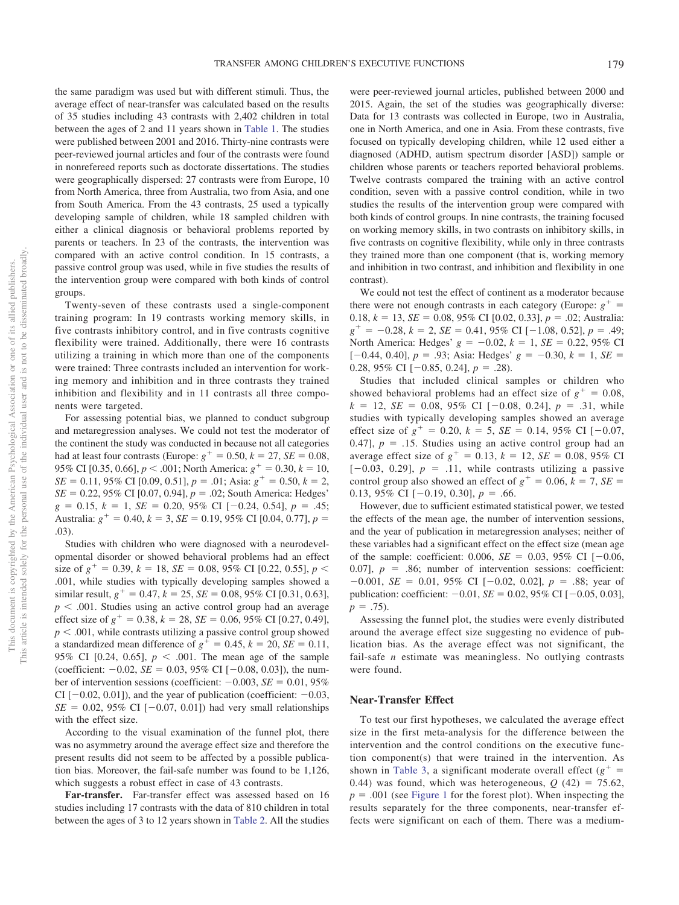the same paradigm was used but with different stimuli. Thus, the average effect of near-transfer was calculated based on the results of 35 studies including 43 contrasts with 2,402 children in total between the ages of 2 and 11 years shown in [Table 1.](#page-4-0) The studies were published between 2001 and 2016. Thirty-nine contrasts were peer-reviewed journal articles and four of the contrasts were found in nonrefereed reports such as doctorate dissertations. The studies were geographically dispersed: 27 contrasts were from Europe, 10 from North America, three from Australia, two from Asia, and one from South America. From the 43 contrasts, 25 used a typically developing sample of children, while 18 sampled children with either a clinical diagnosis or behavioral problems reported by parents or teachers. In 23 of the contrasts, the intervention was compared with an active control condition. In 15 contrasts, a passive control group was used, while in five studies the results of the intervention group were compared with both kinds of control groups.

Twenty-seven of these contrasts used a single-component training program: In 19 contrasts working memory skills, in five contrasts inhibitory control, and in five contrasts cognitive flexibility were trained. Additionally, there were 16 contrasts utilizing a training in which more than one of the components were trained: Three contrasts included an intervention for working memory and inhibition and in three contrasts they trained inhibition and flexibility and in 11 contrasts all three components were targeted.

For assessing potential bias, we planned to conduct subgroup and metaregression analyses. We could not test the moderator of the continent the study was conducted in because not all categories had at least four contrasts (Europe:  $g^{+} = 0.50$ ,  $k = 27$ ,  $SE = 0.08$ , 95% CI [0.35, 0.66],  $p < .001$ ; North America:  $g^+ = 0.30, k = 10$ ,  $SE = 0.11, 95\% \text{ CI} [0.09, 0.51], p = .01; \text{Asia: } g^+ = 0.50, k = 2,$  $SE = 0.22, 95\% \text{ CI} [0.07, 0.94], p = .02$ ; South America: Hedges'  $g = 0.15, k = 1, SE = 0.20, 95\% \text{ CI } [-0.24, 0.54], p = .45;$ Australia:  $g^+ = 0.40$ ,  $k = 3$ ,  $SE = 0.19$ , 95% CI [0.04, 0.77],  $p =$ .03).

Studies with children who were diagnosed with a neurodevelopmental disorder or showed behavioral problems had an effect size of  $g^+ = 0.39$ ,  $k = 18$ ,  $SE = 0.08$ ,  $95\%$  CI [0.22, 0.55],  $p <$ .001, while studies with typically developing samples showed a similar result,  $g^+ = 0.47$ ,  $k = 25$ ,  $SE = 0.08$ , 95% CI [0.31, 0.63],  $p < .001$ . Studies using an active control group had an average effect size of  $g^+ = 0.38$ ,  $k = 28$ ,  $SE = 0.06$ ,  $95\%$  CI [0.27, 0.49],  $p < .001$ , while contrasts utilizing a passive control group showed a standardized mean difference of  $g^+ = 0.45$ ,  $k = 20$ ,  $SE = 0.11$ , 95% CI [0.24, 0.65],  $p < .001$ . The mean age of the sample (coefficient:  $-0.02$ , *SE* = 0.03, 95% CI [ $-0.08$ , 0.03]), the number of intervention sessions (coefficient:  $-0.003$ , *SE* = 0.01, 95% CI  $[-0.02, 0.01]$ , and the year of publication (coefficient:  $-0.03$ ,  $SE = 0.02$ , 95% CI  $[-0.07, 0.01]$  had very small relationships with the effect size.

According to the visual examination of the funnel plot, there was no asymmetry around the average effect size and therefore the present results did not seem to be affected by a possible publication bias. Moreover, the fail-safe number was found to be 1,126, which suggests a robust effect in case of 43 contrasts.

**Far-transfer.** Far-transfer effect was assessed based on 16 studies including 17 contrasts with the data of 810 children in total between the ages of 3 to 12 years shown in [Table 2.](#page-10-0) All the studies

were peer-reviewed journal articles, published between 2000 and 2015. Again, the set of the studies was geographically diverse: Data for 13 contrasts was collected in Europe, two in Australia, one in North America, and one in Asia. From these contrasts, five focused on typically developing children, while 12 used either a diagnosed (ADHD, autism spectrum disorder [ASD]) sample or children whose parents or teachers reported behavioral problems. Twelve contrasts compared the training with an active control condition, seven with a passive control condition, while in two studies the results of the intervention group were compared with both kinds of control groups. In nine contrasts, the training focused on working memory skills, in two contrasts on inhibitory skills, in five contrasts on cognitive flexibility, while only in three contrasts they trained more than one component (that is, working memory and inhibition in two contrast, and inhibition and flexibility in one contrast).

We could not test the effect of continent as a moderator because there were not enough contrasts in each category (Europe:  $g^+$  = 0.18,  $k = 13$ ,  $SE = 0.08$ ,  $95\%$  CI [0.02, 0.33],  $p = .02$ ; Australia:  $g^+ = -0.28$ ,  $k = 2$ ,  $SE = 0.41$ , 95% CI [-1.08, 0.52],  $p = .49$ ; North America: Hedges'  $g = -0.02$ ,  $k = 1$ ,  $SE = 0.22$ , 95% CI  $[-0.44, 0.40], p = .93;$  Asia: Hedges'  $g = -0.30, k = 1, SE =$ 0.28, 95% CI  $[-0.85, 0.24]$ ,  $p = .28$ ).

Studies that included clinical samples or children who showed behavioral problems had an effect size of  $g^+ = 0.08$ ,  $k = 12$ ,  $SE = 0.08$ ,  $95\%$  CI [-0.08, 0.24],  $p = .31$ , while studies with typically developing samples showed an average effect size of  $g^+ = 0.20$ ,  $k = 5$ ,  $SE = 0.14$ , 95% CI [-0.07, 0.47],  $p = .15$ . Studies using an active control group had an average effect size of  $g^+ = 0.13$ ,  $k = 12$ ,  $SE = 0.08$ , 95% CI  $[-0.03, 0.29]$ ,  $p = .11$ , while contrasts utilizing a passive control group also showed an effect of  $g^+ = 0.06$ ,  $k = 7$ ,  $SE =$ 0.13, 95% CI  $[-0.19, 0.30], p = .66$ .

However, due to sufficient estimated statistical power, we tested the effects of the mean age, the number of intervention sessions, and the year of publication in metaregression analyses; neither of these variables had a significant effect on the effect size (mean age of the sample: coefficient: 0.006,  $SE = 0.03$ , 95% CI  $[-0.06,$ 0.07],  $p = .86$ ; number of intervention sessions: coefficient:  $-0.001$ , *SE* = 0.01, 95% CI [ $-0.02$ , 0.02], *p* = .88; year of publication: coefficient:  $-0.01$ , *SE* = 0.02, 95% CI [ $-0.05$ , 0.03],  $p = .75$ ).

Assessing the funnel plot, the studies were evenly distributed around the average effect size suggesting no evidence of publication bias. As the average effect was not significant, the fail-safe *n* estimate was meaningless. No outlying contrasts were found.

### **Near-Transfer Effect**

To test our first hypotheses, we calculated the average effect size in the first meta-analysis for the difference between the intervention and the control conditions on the executive function component(s) that were trained in the intervention. As shown in [Table 3,](#page-15-0) a significant moderate overall effect  $(g<sup>+</sup> =$ 0.44) was found, which was heterogeneous,  $Q(42) = 75.62$ ,  $p = .001$  (see [Figure 1](#page-15-1) for the forest plot). When inspecting the results separately for the three components, near-transfer effects were significant on each of them. There was a medium-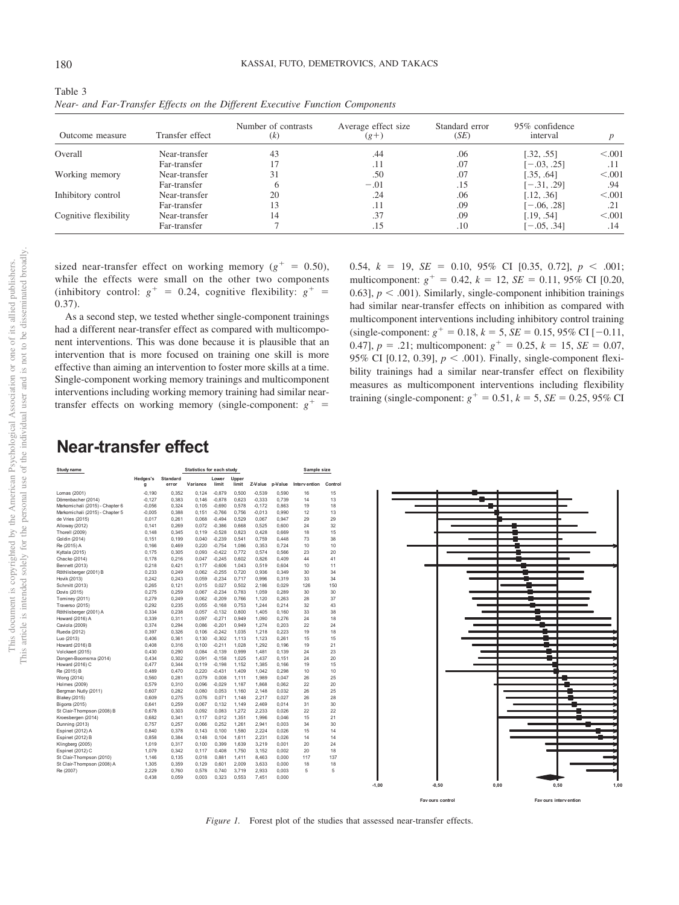| M.<br>۰. | ×<br>۰. |
|----------|---------|

| Outcome measure       | Transfer effect | Number of contrasts<br>(k) | Average effect size<br>$(g + )$ | Standard error<br>(SE) | 95% confidence<br>interval |         |
|-----------------------|-----------------|----------------------------|---------------------------------|------------------------|----------------------------|---------|
| Overall               | Near-transfer   | 43                         | .44                             | .06                    | [.32, .55]                 | < 0.001 |
|                       | Far-transfer    |                            | .11                             | .07                    | $[-.03, .25]$              | .11     |
| Working memory        | Near-transfer   | 31                         | .50                             | .07                    | [.35, .64]                 | < 0.001 |
|                       | Far-transfer    |                            | $-.01$                          | .15                    | $[-.31, .29]$              | .94     |
| Inhibitory control    | Near-transfer   | 20                         | .24                             | .06                    | [.12, .36]                 | < 0.001 |
|                       | Far-transfer    | 13                         | .11                             | .09                    | $[-.06, .28]$              | .21     |
| Cognitive flexibility | Near-transfer   | 14                         | .37                             | .09                    | [.19, .54]                 | < 0.001 |
|                       | Far-transfer    |                            | .15                             | .10                    | $[-.05, .34]$              | .14     |

<span id="page-15-0"></span>Table 3 *Near- and Far-Transfer Effects on the Different Executive Function Components*

sized near-transfer effect on working memory ( $g^+ = 0.50$ ), while the effects were small on the other two components (inhibitory control:  $g^+ = 0.24$ , cognitive flexibility:  $g^+ =$ 0.37).

As a second step, we tested whether single-component trainings had a different near-transfer effect as compared with multicomponent interventions. This was done because it is plausible that an intervention that is more focused on training one skill is more effective than aiming an intervention to foster more skills at a time. Single-component working memory trainings and multicomponent interventions including working memory training had similar neartransfer effects on working memory (single-component:  $g^+$  = 0.54,  $k = 19$ ,  $SE = 0.10$ ,  $95\%$  CI [0.35, 0.72],  $p < .001$ ; multicomponent:  $g^+ = 0.42$ ,  $k = 12$ ,  $SE = 0.11$ , 95% CI [0.20, 0.63],  $p < .001$ ). Similarly, single-component inhibition trainings had similar near-transfer effects on inhibition as compared with multicomponent interventions including inhibitory control training  $(single-component: g<sup>+</sup> = 0.18, k = 5, SE = 0.15, 95\% CI [-0.11,$ 0.47],  $p = .21$ ; multicomponent:  $g^+ = 0.25$ ,  $k = 15$ ,  $SE = 0.07$ , 95% CI [0.12, 0.39],  $p < .001$ ). Finally, single-component flexibility trainings had a similar near-transfer effect on flexibility measures as multicomponent interventions including flexibility training (single-component:  $g^+ = 0.51$ ,  $k = 5$ ,  $SE = 0.25$ , 95% CI

# **Near-transfer effect**

| Study name                      |                          | <b>Statistics for each study</b> |          |                |                |          |         | Sample size  |         |
|---------------------------------|--------------------------|----------------------------------|----------|----------------|----------------|----------|---------|--------------|---------|
|                                 | Hedges's<br>$\mathbf{q}$ | <b>Standard</b><br>error         | Variance | Lower<br>limit | Upper<br>limit | Z-Value  | p-Value | Intervention | Control |
|                                 |                          |                                  |          |                |                |          |         |              |         |
| Lomas (2001)                    | $-0.190$                 | 0.352                            | 0.124    | $-0.879$       | 0.500          | $-0.539$ | 0.590   | 16           | 15      |
| Dörrenbacher (2014)             | $-0,127$                 | 0.383                            | 0.146    | $-0.878$       | 0.623          | $-0,333$ | 0.739   | 14           | 13      |
| Markomichali (2015) - Chapter 6 | $-0.056$                 | 0.324                            | 0.105    | $-0.690$       | 0.578          | $-0.172$ | 0.863   | 19           | 18      |
| Markomichali (2015) - Chapter 5 | $-0,005$                 | 0,388                            | 0.151    | $-0.766$       | 0.756          | $-0,013$ | 0,990   | 12           | 13      |
| de Vries (2015)                 | 0.017                    | 0.261                            | 0.068    | $-0.494$       | 0,529          | 0.067    | 0.947   | 29           | 29      |
| Alloway (2012)                  | 0.141                    | 0.269                            | 0.072    | $-0.386$       | 0,668          | 0.525    | 0.600   | 24           | 32      |
| <b>Thorell</b> (2009)           | 0.148                    | 0,345                            | 0.119    | $-0,528$       | 0,823          | 0,428    | 0,669   | 18           | 15      |
| Goldin (2014)                   | 0.151                    | 0.199                            | 0.040    | $-0.239$       | 0.541          | 0.759    | 0.448   | 73           | 38      |
| Re (2015) A                     | 0.166                    | 0.469                            | 0.220    | $-0.754$       | 1.086          | 0.353    | 0.724   | 10           | 10      |
| Kyttala (2015)                  | 0.175                    | 0.305                            | 0.093    | $-0.422$       | 0.772          | 0.574    | 0.566   | 23           | 20      |
| Chacko (2014)                   | 0.178                    | 0.216                            | 0.047    | $-0.245$       | 0.602          | 0.826    | 0.409   | 44           | 41      |
| Bennett (2013)                  | 0.218                    | 0.421                            | 0.177    | $-0.606$       | 1.043          | 0.519    | 0.604   | 10           | 11      |
| Röthlisberger (2001) B          | 0.233                    | 0.249                            | 0.062    | $-0.255$       | 0.720          | 0.936    | 0.349   | 30           | 34      |
| Hovik (2013)                    | 0.242                    | 0.243                            | 0.059    | $-0.234$       | 0.717          | 0.996    | 0.319   | 33           | 34      |
| Schmitt (2013)                  | 0.265                    | 0.121                            | 0.015    | 0.027          | 0.502          | 2.186    | 0.029   | 126          | 150     |
| Dovis (2015)                    | 0.275                    | 0.259                            | 0.067    | $-0.234$       | 0.783          | 1.059    | 0.289   | 30           | 30      |
| Tominey (2011)                  | 0.279                    | 0.249                            | 0.062    | $-0.209$       | 0.766          | 1.120    | 0.263   | 28           | 37      |
| Traverso (2015)                 | 0.292                    | 0.235                            | 0.055    | $-0.168$       | 0.753          | 1.244    | 0.214   | 32           | 43      |
| Röthlisberger (2001) A          | 0.334                    | 0.238                            | 0.057    | $-0.132$       | 0.800          | 1.405    | 0.160   | 33           | 38      |
| Howard (2016) A                 | 0.339                    | 0.311                            | 0.097    | $-0.271$       | 0.949          | 1.090    | 0.276   | 24           | 18      |
| Caviola (2009)                  | 0,374                    | 0.294                            | 0.086    | $-0.201$       | 0.949          | 1.274    | 0.203   | 22           | 24      |
| Rueda (2012)                    | 0.397                    | 0.326                            | 0.106    | $-0.242$       | 1.035          | 1.218    | 0.223   | 19           | 18      |
| Luo (2013)                      | 0.406                    | 0.361                            | 0.130    | $-0.302$       | 1.113          | 1.123    | 0.261   | 15           | 15      |
| Howard (2016) B                 | 0.408                    | 0.316                            | 0.100    | $-0,211$       | 1,028          | 1,292    | 0,196   | 19           | 21      |
| Volckaert (2015)                | 0.430                    | 0.290                            | 0.084    | $-0.139$       | 0.999          | 1.481    | 0.139   | 24           | 23      |
| Dongen-Boomsma (2014)           | 0,434                    | 0,302                            | 0.091    | $-0.158$       | 1,025          | 1.437    | 0,151   | 24           | 20      |
| Howard (2016) C                 | 0.477                    | 0.344                            | 0.119    | $-0.198$       | 1.152          | 1.385    | 0.166   | 19           | 15      |
| Re (2015) B                     | 0,489                    | 0,470                            | 0.220    | $-0.431$       | 1,409          | 1,042    | 0,298   | 10           | 10      |
| Wong (2014)                     | 0.560                    | 0.281                            | 0.079    | 0.008          | 1.111          | 1.989    | 0.047   | 26           | 25      |
| Holmes (2009)                   | 0.579                    | 0,310                            | 0.096    | $-0.029$       | 1.187          | 1.868    | 0.062   | 22           | 20      |
| Bergman Nutly (2011)            | 0.607                    | 0.282                            | 0.080    | 0.053          | 1.160          | 2.148    | 0.032   | 26           | 25      |
| Blakey (2015)                   | 0,609                    | 0.275                            | 0.076    | 0.071          | 1.148          | 2.217    | 0,027   | 26           | 28      |
| Bigorra (2015)                  | 0.641                    | 0.259                            | 0.067    | 0.132          | 1.149          | 2.469    | 0.014   | 31           | 30      |
| St Clair-Thompson (2008) B      | 0.678                    | 0,303                            | 0.092    | 0.083          | 1,272          | 2,233    | 0.026   | 22           | 22      |
| Kroesbergen (2014)              | 0,682                    | 0,341                            | 0.117    | 0,012          | 1,351          | 1.996    | 0.046   | 15           | 21      |
| Dunning (2013)                  | 0,757                    | 0,257                            | 0.066    | 0.252          | 1,261          | 2,941    | 0.003   | 34           | 30      |
| Espinet (2012) A                | 0.840                    | 0,378                            | 0.143    | 0.100          | 1.580          | 2.224    | 0.026   | 15           | 14      |
| Espinet (2012) B                | 0.858                    | 0.384                            | 0.148    | 0.104          | 1.611          | 2.231    | 0.026   | 14           | 14      |
| Klingberg (2005)                | 1.019                    | 0.317                            | 0.100    | 0.399          | 1.639          | 3.219    | 0.001   | 20           | 24      |
| Espinet (2012) C                | 1.079                    | 0.342                            | 0.117    | 0.408          | 1.750          | 3.152    | 0.002   | 20           | 18      |
| St Clair-Thompson (2010)        | 1.146                    | 0.135                            | 0.018    | 0.881          | 1.411          | 8.463    | 0.000   | 117          | 137     |
| St Clair-Thompson (2008) A      | 1,305                    | 0.359                            | 0.129    | 0.601          | 2.009          | 3.633    | 0.000   | 18           | 18      |
| Re (2007)                       | 2.229                    | 0.760                            | 0.578    | 0.740          | 3.719          | 2.933    | 0.003   | 5            | 5       |
|                                 | 0.438                    | 0.059                            | 0.003    | 0.323          | 0.553          | 7.451    | 0.000   |              |         |
|                                 |                          |                                  |          |                |                |          |         |              |         |



<span id="page-15-1"></span>*Figure 1.* Forest plot of the studies that assessed near-transfer effects.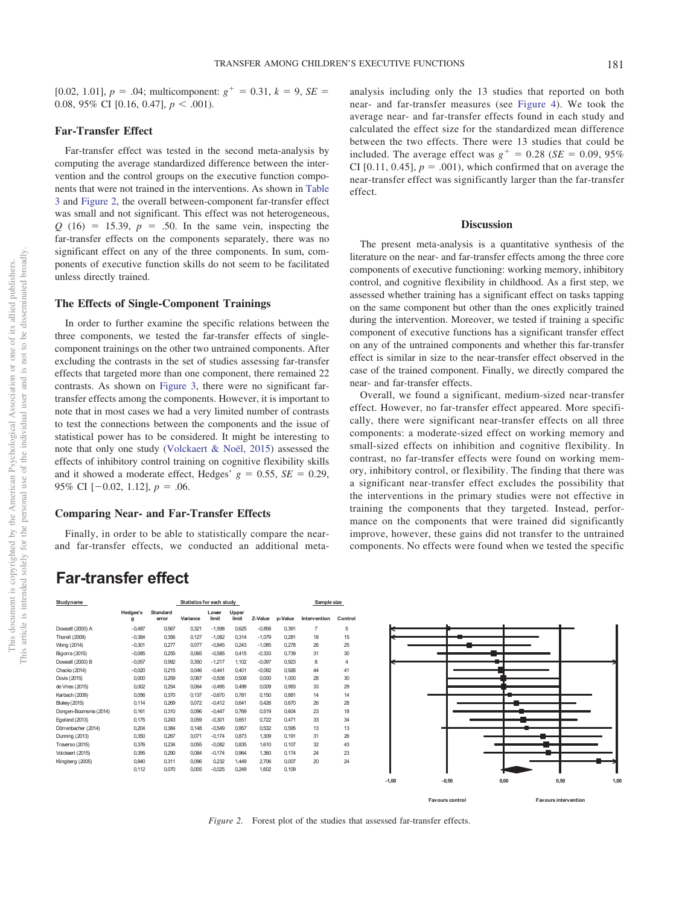[0.02, 1.01],  $p = .04$ ; multicomponent:  $g^+ = 0.31$ ,  $k = 9$ ,  $SE =$ 0.08, 95% CI  $[0.16, 0.47]$ ,  $p < .001$ ).

### **Far-Transfer Effect**

Far-transfer effect was tested in the second meta-analysis by computing the average standardized difference between the intervention and the control groups on the executive function components that were not trained in the interventions. As shown in [Table](#page-15-0) [3](#page-15-0) and [Figure 2,](#page-16-0) the overall between-component far-transfer effect was small and not significant. This effect was not heterogeneous,  $Q(16) = 15.39$ ,  $p = .50$ . In the same vein, inspecting the far-transfer effects on the components separately, there was no significant effect on any of the three components. In sum, components of executive function skills do not seem to be facilitated unless directly trained.

### **The Effects of Single-Component Trainings**

In order to further examine the specific relations between the three components, we tested the far-transfer effects of singlecomponent trainings on the other two untrained components. After excluding the contrasts in the set of studies assessing far-transfer effects that targeted more than one component, there remained 22 contrasts. As shown on [Figure 3,](#page-17-0) there were no significant fartransfer effects among the components. However, it is important to note that in most cases we had a very limited number of contrasts to test the connections between the components and the issue of statistical power has to be considered. It might be interesting to note that only one study [\(Volckaert & Noël, 2015\)](#page-21-13) assessed the effects of inhibitory control training on cognitive flexibility skills and it showed a moderate effect, Hedges'  $g = 0.55$ ,  $SE = 0.29$ , 95% CI  $[-0.02, 1.12]$ ,  $p = .06$ .

### **Comparing Near- and Far-Transfer Effects**

Finally, in order to be able to statistically compare the nearand far-transfer effects, we conducted an additional metaanalysis including only the 13 studies that reported on both near- and far-transfer measures (see [Figure 4\)](#page-18-0). We took the average near- and far-transfer effects found in each study and calculated the effect size for the standardized mean difference between the two effects. There were 13 studies that could be included. The average effect was  $g^+ = 0.28$  (*SE* = 0.09, 95%) CI  $[0.11, 0.45]$ ,  $p = .001$ ), which confirmed that on average the near-transfer effect was significantly larger than the far-transfer effect.

### **Discussion**

The present meta-analysis is a quantitative synthesis of the literature on the near- and far-transfer effects among the three core components of executive functioning: working memory, inhibitory control, and cognitive flexibility in childhood. As a first step, we assessed whether training has a significant effect on tasks tapping on the same component but other than the ones explicitly trained during the intervention. Moreover, we tested if training a specific component of executive functions has a significant transfer effect on any of the untrained components and whether this far-transfer effect is similar in size to the near-transfer effect observed in the case of the trained component. Finally, we directly compared the near- and far-transfer effects.

Overall, we found a significant, medium-sized near-transfer effect. However, no far-transfer effect appeared. More specifically, there were significant near-transfer effects on all three components: a moderate-sized effect on working memory and small-sized effects on inhibition and cognitive flexibility. In contrast, no far-transfer effects were found on working memory, inhibitory control, or flexibility. The finding that there was a significant near-transfer effect excludes the possibility that the interventions in the primary studies were not effective in training the components that they targeted. Instead, performance on the components that were trained did significantly improve, however, these gains did not transfer to the untrained components. No effects were found when we tested the specific

# **Far-transfer effect**

| Studyname             |               |                          | Statistics for each study |                |                |          |         | Sample size    |                |  |
|-----------------------|---------------|--------------------------|---------------------------|----------------|----------------|----------|---------|----------------|----------------|--|
|                       | Hedges's<br>g | <b>Standard</b><br>error | Variance                  | Lower<br>limit | Upper<br>limit | Z-Value  | p-Value | Intervention   | Control        |  |
| Dowsett (2000) A      | $-0,487$      | 0,567                    | 0,321                     | $-1,598$       | 0,625          | $-0,858$ | 0,391   | $\overline{7}$ | 5              |  |
| Thorell (2009)        | $-0,384$      | 0,356                    | 0,127                     | $-1,082$       | 0,314          | $-1,079$ | 0,281   | 18             | 15             |  |
| Wong (2014)           | $-0,301$      | 0.277                    | 0.077                     | $-0.845$       | 0.243          | $-1,085$ | 0.278   | 26             | 25             |  |
| Bigorra (2015)        | $-0,085$      | 0,255                    | 0,065                     | $-0,585$       | 0.415          | $-0,333$ | 0,739   | 31             | 30             |  |
| Dowsett (2000) B      | $-0,057$      | 0,592                    | 0,350                     | $-1,217$       | 1,102          | $-0,097$ | 0,923   | 8              | $\overline{4}$ |  |
| Chacko (2014)         | $-0,020$      | 0,215                    | 0,046                     | $-0,441$       | 0,401          | $-0,092$ | 0,926   | 44             | 41             |  |
| Dovis (2015)          | 0.000         | 0,259                    | 0.067                     | $-0.508$       | 0.508          | 0.000    | 1,000   | 28             | 30             |  |
| de Vries (2015)       | 0,002         | 0,254                    | 0,064                     | $-0.495$       | 0.499          | 0,009    | 0,993   | 33             | 29             |  |
| Karbach (2009)        | 0,056         | 0,370                    | 0,137                     | $-0,670$       | 0.781          | 0,150    | 0,881   | 14             | 14             |  |
| Blakey (2015)         | 0.114         | 0.269                    | 0.072                     | $-0.412$       | 0.641          | 0.426    | 0.670   | 26             | 28             |  |
| Dongen-Boomsma (2014) | 0,161         | 0,310                    | 0,096                     | $-0,447$       | 0,769          | 0,519    | 0,604   | 23             | 18             |  |
| Egeland (2013)        | 0,175         | 0,243                    | 0,059                     | $-0,301$       | 0.651          | 0,722    | 0,471   | 33             | 34             |  |
| Dörrenbacher (2014)   | 0,204         | 0,384                    | 0,148                     | $-0,549$       | 0,957          | 0,532    | 0,595   | 13             | 13             |  |
| Dunning (2013)        | 0,350         | 0,267                    | 0,071                     | $-0,174$       | 0,873          | 1,309    | 0,191   | 31             | 26             |  |
| Traverso (2015)       | 0,376         | 0,234                    | 0,055                     | $-0,082$       | 0,835          | 1,610    | 0,107   | 32             | 43             |  |
| Volckaert (2015)      | 0,395         | 0,290                    | 0.084                     | $-0,174$       | 0,964          | 1,360    | 0,174   | 24             | 23             |  |
| Klingberg (2005)      | 0,840         | 0,311                    | 0,096                     | 0,232          | 1.449          | 2,706    | 0,007   | 20             | 24             |  |
|                       | 0,112         | 0,070                    | 0,005                     | $-0,025$       | 0,249          | 1,602    | 0,109   |                |                |  |



<span id="page-16-0"></span>*Figure 2.* Forest plot of the studies that assessed far-transfer effects.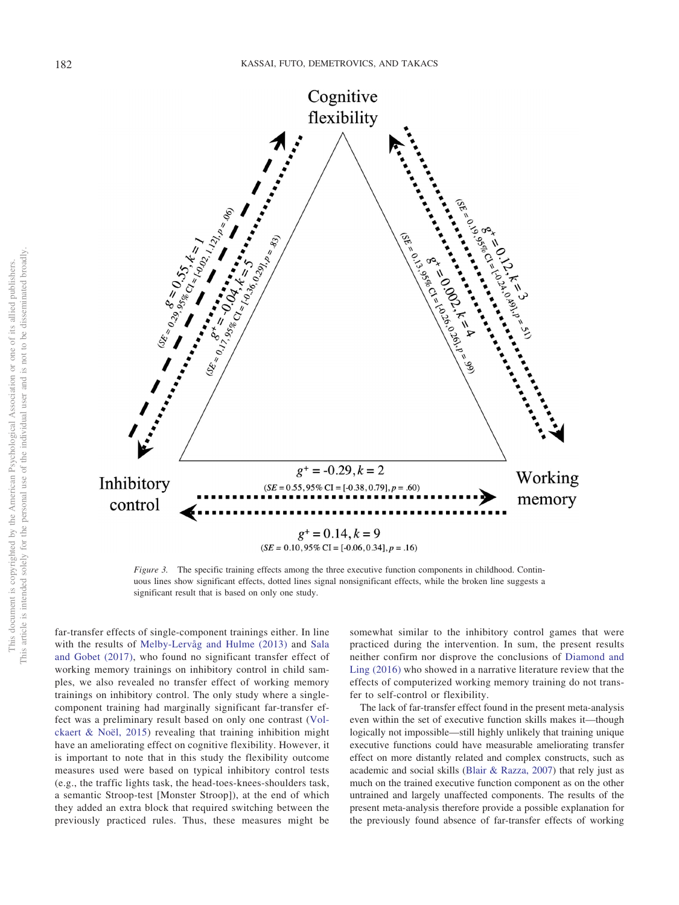This document is copyrighted by the American Psychological Association or one of its allied publishers. This article is intended solely for the personal use of the individual user and is not to be disseminated broadly.

This document is copyrighted by the American Psychological Association or one of its allied publishers.

This article is intended solely for the personal use of the individual user and is not to be disseminated broadly



<span id="page-17-0"></span>*Figure 3.* The specific training effects among the three executive function components in childhood. Continuous lines show significant effects, dotted lines signal nonsignificant effects, while the broken line suggests a significant result that is based on only one study.

far-transfer effects of single-component trainings either. In line with the results of [Melby-Lervåg and Hulme \(2013\)](#page-21-0) and [Sala](#page-21-1) [and Gobet \(2017\),](#page-21-1) who found no significant transfer effect of working memory trainings on inhibitory control in child samples, we also revealed no transfer effect of working memory trainings on inhibitory control. The only study where a singlecomponent training had marginally significant far-transfer effect was a preliminary result based on only one contrast [\(Vol](#page-21-13)[ckaert & Noël, 2015\)](#page-21-13) revealing that training inhibition might have an ameliorating effect on cognitive flexibility. However, it is important to note that in this study the flexibility outcome measures used were based on typical inhibitory control tests (e.g., the traffic lights task, the head-toes-knees-shoulders task, a semantic Stroop-test [Monster Stroop]), at the end of which they added an extra block that required switching between the previously practiced rules. Thus, these measures might be

somewhat similar to the inhibitory control games that were practiced during the intervention. In sum, the present results neither confirm nor disprove the conclusions of [Diamond and](#page-20-6) [Ling \(2016\)](#page-20-6) who showed in a narrative literature review that the effects of computerized working memory training do not transfer to self-control or flexibility.

The lack of far-transfer effect found in the present meta-analysis even within the set of executive function skills makes it—though logically not impossible—still highly unlikely that training unique executive functions could have measurable ameliorating transfer effect on more distantly related and complex constructs, such as academic and social skills [\(Blair & Razza, 2007\)](#page-19-2) that rely just as much on the trained executive function component as on the other untrained and largely unaffected components. The results of the present meta-analysis therefore provide a possible explanation for the previously found absence of far-transfer effects of working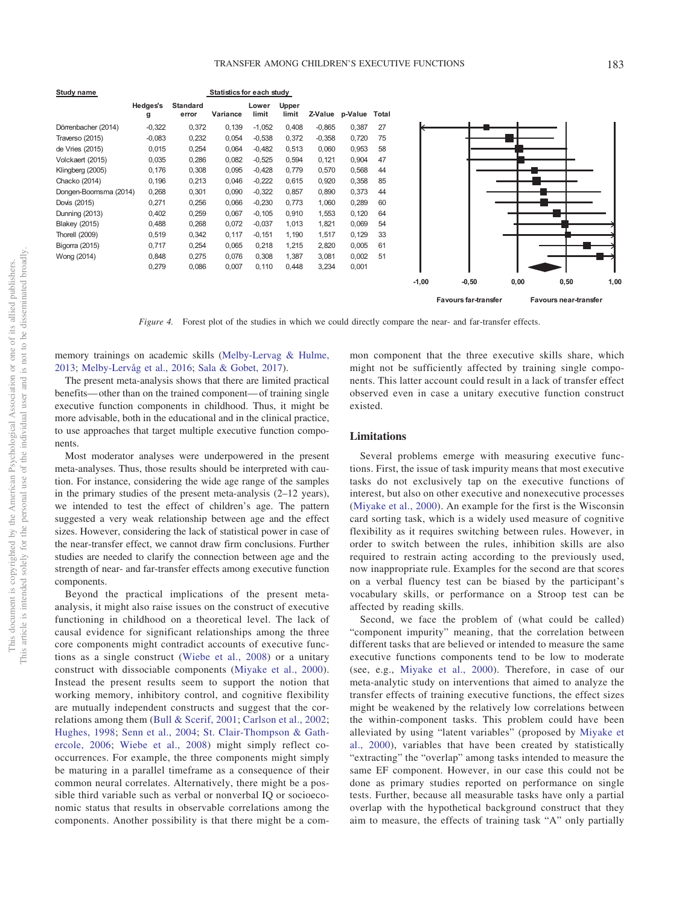**Study name Statistics for each study Hedges's Standard Lower Upper g error Variance limit limit Z-Value p-Value Total** Dörrenbacher (2014) -0,322 0,372 0,139 -1,052 0,408 -0,865 0,387 27 Traverso (2015) -0,083 0,232 0,054 -0,538 0,372 -0,358 0,720 75 de Vries (2015) 0,015 0,254 0,064 -0,482 0,513 0,060 0,953 58 Volckaert (2015) 0,035 0,286 0,082 -0,525 0,594 0,121 0,904 47 Klingberg (2005) 0,176 0,308 0,095 -0,428 0,779 0,570 0,568 44 Chacko (2014) 0,196 0,213 0,046 -0,222 0,615 0,920 0,358 85 Dongen-Boomsma (2014) 0,268 0,301 0,090 -0,322 0,857 0,890 0,373 44 Dovis (2015) 0,271 0,256 0,066 -0,230 0,773 1,060 0,289 60 Dunning (2013) 0,402 0,259 0,067 -0,105 0,910 1,553 0,120 64 Blakey (2015) 0,488 0,268 0,072 -0,037 1,013 1,821 0,069 54 Thorell (2009) 0,519 0,342 0,117 -0,151 1,190 1,517 0,129 33 Bigorra (2015) 0,717 0,254 0,065 0,218 1,215 2,820 0,005 61 Wong (2014) 0,848 0,275 0,076 0,308 1,387 3,081 0,002 51 0,279 0,086 0,007 0,110 0,448 3,234 0,001 **-1,00 -0,50 0,00 0,50 1,00**

<span id="page-18-0"></span>*Figure 4.* Forest plot of the studies in which we could directly compare the near- and far-transfer effects.

memory trainings on academic skills [\(Melby-Lervag & Hulme,](#page-21-0) [2013;](#page-21-0) [Melby-Lervåg et al., 2016;](#page-21-10) [Sala & Gobet, 2017\)](#page-21-1).

The present meta-analysis shows that there are limited practical benefits— other than on the trained component— of training single executive function components in childhood. Thus, it might be more advisable, both in the educational and in the clinical practice, to use approaches that target multiple executive function components.

Most moderator analyses were underpowered in the present meta-analyses. Thus, those results should be interpreted with caution. For instance, considering the wide age range of the samples in the primary studies of the present meta-analysis (2–12 years), we intended to test the effect of children's age. The pattern suggested a very weak relationship between age and the effect sizes. However, considering the lack of statistical power in case of the near-transfer effect, we cannot draw firm conclusions. Further studies are needed to clarify the connection between age and the strength of near- and far-transfer effects among executive function components.

Beyond the practical implications of the present metaanalysis, it might also raise issues on the construct of executive functioning in childhood on a theoretical level. The lack of causal evidence for significant relationships among the three core components might contradict accounts of executive functions as a single construct [\(Wiebe et al., 2008\)](#page-21-8) or a unitary construct with dissociable components [\(Miyake et al., 2000\)](#page-21-6). Instead the present results seem to support the notion that working memory, inhibitory control, and cognitive flexibility are mutually independent constructs and suggest that the correlations among them [\(Bull & Scerif, 2001;](#page-19-4) [Carlson et al., 2002;](#page-19-5) [Hughes, 1998;](#page-20-4) [Senn et al., 2004;](#page-21-9) [St. Clair-Thompson & Gath](#page-21-7)[ercole, 2006;](#page-21-7) [Wiebe et al., 2008\)](#page-21-8) might simply reflect cooccurrences. For example, the three components might simply be maturing in a parallel timeframe as a consequence of their common neural correlates. Alternatively, there might be a possible third variable such as verbal or nonverbal IQ or socioeconomic status that results in observable correlations among the components. Another possibility is that there might be a com-

mon component that the three executive skills share, which might not be sufficiently affected by training single components. This latter account could result in a lack of transfer effect observed even in case a unitary executive function construct existed.

**Favours far-transfer Favours near-transfer**

### **Limitations**

Several problems emerge with measuring executive functions. First, the issue of task impurity means that most executive tasks do not exclusively tap on the executive functions of interest, but also on other executive and nonexecutive processes [\(Miyake et al., 2000\)](#page-21-6). An example for the first is the Wisconsin card sorting task, which is a widely used measure of cognitive flexibility as it requires switching between rules. However, in order to switch between the rules, inhibition skills are also required to restrain acting according to the previously used, now inappropriate rule. Examples for the second are that scores on a verbal fluency test can be biased by the participant's vocabulary skills, or performance on a Stroop test can be affected by reading skills.

Second, we face the problem of (what could be called) "component impurity" meaning, that the correlation between different tasks that are believed or intended to measure the same executive functions components tend to be low to moderate (see, e.g., [Miyake et al., 2000\)](#page-21-6). Therefore, in case of our meta-analytic study on interventions that aimed to analyze the transfer effects of training executive functions, the effect sizes might be weakened by the relatively low correlations between the within-component tasks. This problem could have been alleviated by using "latent variables" (proposed by [Miyake et](#page-21-6) [al., 2000\)](#page-21-6), variables that have been created by statistically "extracting" the "overlap" among tasks intended to measure the same EF component. However, in our case this could not be done as primary studies reported on performance on single tests. Further, because all measurable tasks have only a partial overlap with the hypothetical background construct that they aim to measure, the effects of training task "A" only partially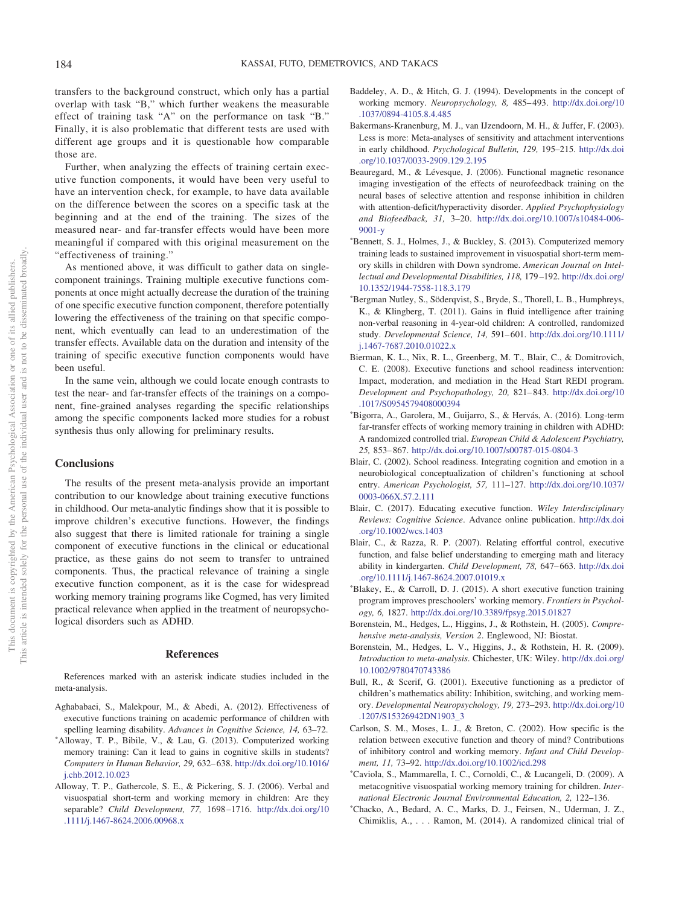transfers to the background construct, which only has a partial overlap with task "B," which further weakens the measurable effect of training task "A" on the performance on task "B." Finally, it is also problematic that different tests are used with different age groups and it is questionable how comparable those are.

Further, when analyzing the effects of training certain executive function components, it would have been very useful to have an intervention check, for example, to have data available on the difference between the scores on a specific task at the beginning and at the end of the training. The sizes of the measured near- and far-transfer effects would have been more meaningful if compared with this original measurement on the "effectiveness of training."

As mentioned above, it was difficult to gather data on singlecomponent trainings. Training multiple executive functions components at once might actually decrease the duration of the training of one specific executive function component, therefore potentially lowering the effectiveness of the training on that specific component, which eventually can lead to an underestimation of the transfer effects. Available data on the duration and intensity of the training of specific executive function components would have been useful.

In the same vein, although we could locate enough contrasts to test the near- and far-transfer effects of the trainings on a component, fine-grained analyses regarding the specific relationships among the specific components lacked more studies for a robust synthesis thus only allowing for preliminary results.

### **Conclusions**

The results of the present meta-analysis provide an important contribution to our knowledge about training executive functions in childhood. Our meta-analytic findings show that it is possible to improve children's executive functions. However, the findings also suggest that there is limited rationale for training a single component of executive functions in the clinical or educational practice, as these gains do not seem to transfer to untrained components. Thus, the practical relevance of training a single executive function component, as it is the case for widespread working memory training programs like Cogmed, has very limited practical relevance when applied in the treatment of neuropsychological disorders such as ADHD.

### **References**

References marked with an asterisk indicate studies included in the meta-analysis.

- <span id="page-19-13"></span>Aghababaei, S., Malekpour, M., & Abedi, A. (2012). Effectiveness of executive functions training on academic performance of children with spelling learning disability. *Advances in Cognitive Science, 14,* 63–72.
- <span id="page-19-7"></span>\*Alloway, T. P., Bibile, V., & Lau, G. (2013). Computerized working memory training: Can it lead to gains in cognitive skills in students? *Computers in Human Behavior, 29,* 632– 638. [http://dx.doi.org/10.1016/](http://dx.doi.org/10.1016/j.chb.2012.10.023) [j.chb.2012.10.023](http://dx.doi.org/10.1016/j.chb.2012.10.023)
- <span id="page-19-11"></span>Alloway, T. P., Gathercole, S. E., & Pickering, S. J. (2006). Verbal and visuospatial short-term and working memory in children: Are they separable? *Child Development, 77,* 1698 –1716. [http://dx.doi.org/10](http://dx.doi.org/10.1111/j.1467-8624.2006.00968.x) [.1111/j.1467-8624.2006.00968.x](http://dx.doi.org/10.1111/j.1467-8624.2006.00968.x)
- <span id="page-19-3"></span>Baddeley, A. D., & Hitch, G. J. (1994). Developments in the concept of working memory. *Neuropsychology, 8,* 485– 493. [http://dx.doi.org/10](http://dx.doi.org/10.1037/0894-4105.8.4.485) [.1037/0894-4105.8.4.485](http://dx.doi.org/10.1037/0894-4105.8.4.485)
- <span id="page-19-14"></span>Bakermans-Kranenburg, M. J., van IJzendoorn, M. H., & Juffer, F. (2003). Less is more: Meta-analyses of sensitivity and attachment interventions in early childhood. *Psychological Bulletin, 129,* 195–215. [http://dx.doi](http://dx.doi.org/10.1037/0033-2909.129.2.195) [.org/10.1037/0033-2909.129.2.195](http://dx.doi.org/10.1037/0033-2909.129.2.195)
- <span id="page-19-12"></span>Beauregard, M., & Lévesque, J. (2006). Functional magnetic resonance imaging investigation of the effects of neurofeedback training on the neural bases of selective attention and response inhibition in children with attention-deficit/hyperactivity disorder. *Applied Psychophysiology and Biofeedback, 31,* 3–20. [http://dx.doi.org/10.1007/s10484-006-](http://dx.doi.org/10.1007/s10484-006-9001-y) [9001-y](http://dx.doi.org/10.1007/s10484-006-9001-y)
- <span id="page-19-8"></span>\*Bennett, S. J., Holmes, J., & Buckley, S. (2013). Computerized memory training leads to sustained improvement in visuospatial short-term memory skills in children with Down syndrome. *American Journal on Intellectual and Developmental Disabilities, 118,* 179 –192. [http://dx.doi.org/](http://dx.doi.org/10.1352/1944-7558-118.3.179) [10.1352/1944-7558-118.3.179](http://dx.doi.org/10.1352/1944-7558-118.3.179)
- Bergman Nutley, S., Söderqvist, S., Bryde, S., Thorell, L. B., Humphreys, K., & Klingberg, T. (2011). Gains in fluid intelligence after training non-verbal reasoning in 4-year-old children: A controlled, randomized study. *Developmental Science, 14,* 591– 601. [http://dx.doi.org/10.1111/](http://dx.doi.org/10.1111/j.1467-7687.2010.01022.x) [j.1467-7687.2010.01022.x](http://dx.doi.org/10.1111/j.1467-7687.2010.01022.x)
- <span id="page-19-0"></span>Bierman, K. L., Nix, R. L., Greenberg, M. T., Blair, C., & Domitrovich, C. E. (2008). Executive functions and school readiness intervention: Impact, moderation, and mediation in the Head Start REDI program. *Development and Psychopathology, 20,* 821– 843. [http://dx.doi.org/10](http://dx.doi.org/10.1017/S0954579408000394) [.1017/S0954579408000394](http://dx.doi.org/10.1017/S0954579408000394)
- Bigorra, A., Garolera, M., Guijarro, S., & Hervás, A. (2016). Long-term far-transfer effects of working memory training in children with ADHD: A randomized controlled trial. *European Child & Adolescent Psychiatry, 25,* 853– 867. <http://dx.doi.org/10.1007/s00787-015-0804-3>
- <span id="page-19-1"></span>Blair, C. (2002). School readiness. Integrating cognition and emotion in a neurobiological conceptualization of children's functioning at school entry. *American Psychologist, 57,* 111–127. [http://dx.doi.org/10.1037/](http://dx.doi.org/10.1037/0003-066X.57.2.111) [0003-066X.57.2.111](http://dx.doi.org/10.1037/0003-066X.57.2.111)
- <span id="page-19-6"></span>Blair, C. (2017). Educating executive function. *Wiley Interdisciplinary Reviews: Cognitive Science*. Advance online publication. [http://dx.doi](http://dx.doi.org/10.1002/wcs.1403) [.org/10.1002/wcs.1403](http://dx.doi.org/10.1002/wcs.1403)
- <span id="page-19-2"></span>Blair, C., & Razza, R. P. (2007). Relating effortful control, executive function, and false belief understanding to emerging math and literacy ability in kindergarten. *Child Development, 78,* 647– 663. [http://dx.doi](http://dx.doi.org/10.1111/j.1467-8624.2007.01019.x) [.org/10.1111/j.1467-8624.2007.01019.x](http://dx.doi.org/10.1111/j.1467-8624.2007.01019.x)
- Blakey, E., & Carroll, D. J. (2015). A short executive function training program improves preschoolers' working memory. *Frontiers in Psychology, 6,* 1827. <http://dx.doi.org/10.3389/fpsyg.2015.01827>
- <span id="page-19-15"></span>Borenstein, M., Hedges, L., Higgins, J., & Rothstein, H. (2005). *Comprehensive meta-analysis, Version 2*. Englewood, NJ: Biostat.
- <span id="page-19-16"></span>Borenstein, M., Hedges, L. V., Higgins, J., & Rothstein, H. R. (2009). *Introduction to meta-analysis*. Chichester, UK: Wiley. [http://dx.doi.org/](http://dx.doi.org/10.1002/9780470743386) [10.1002/9780470743386](http://dx.doi.org/10.1002/9780470743386)
- <span id="page-19-4"></span>Bull, R., & Scerif, G. (2001). Executive functioning as a predictor of children's mathematics ability: Inhibition, switching, and working memory. *Developmental Neuropsychology, 19,* 273–293. [http://dx.doi.org/10](http://dx.doi.org/10.1207/S15326942DN1903_3) [.1207/S15326942DN1903\\_3](http://dx.doi.org/10.1207/S15326942DN1903_3)
- <span id="page-19-5"></span>Carlson, S. M., Moses, L. J., & Breton, C. (2002). How specific is the relation between executive function and theory of mind? Contributions of inhibitory control and working memory. *Infant and Child Development, 11,* 73–92. <http://dx.doi.org/10.1002/icd.298>
- <span id="page-19-9"></span>- Caviola, S., Mammarella, I. C., Cornoldi, C., & Lucangeli, D. (2009). A metacognitive visuospatial working memory training for children. *International Electronic Journal Environmental Education, 2,* 122–136.
- <span id="page-19-10"></span>- Chacko, A., Bedard, A. C., Marks, D. J., Feirsen, N., Uderman, J. Z., Chimiklis, A.,... Ramon, M. (2014). A randomized clinical trial of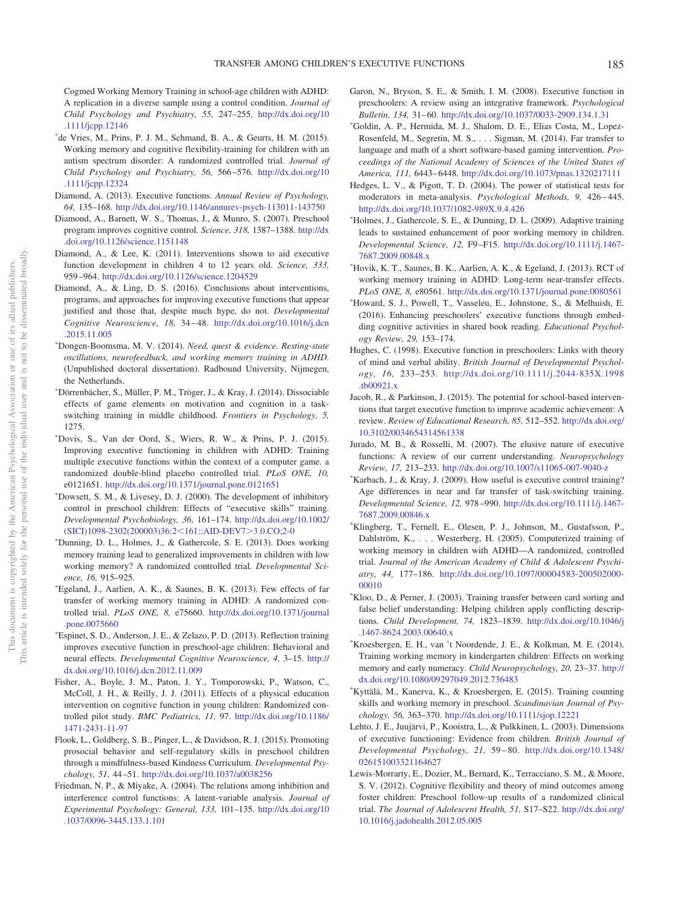Cogmed Working Memory Training in school-age children with ADHD: A replication in a diverse sample using a control condition. *Journal of Child Psychology and Psychiatry, 55,* 247–255. [http://dx.doi.org/10](http://dx.doi.org/10.1111/jcpp.12146) [.1111/jcpp.12146](http://dx.doi.org/10.1111/jcpp.12146)

- <span id="page-20-9"></span>- de Vries, M., Prins, P. J. M., Schmand, B. A., & Geurts, H. M. (2015). Working memory and cognitive flexibility-training for children with an autism spectrum disorder: A randomized controlled trial. *Journal of Child Psychology and Psychiatry, 56,* 566 –576. [http://dx.doi.org/10](http://dx.doi.org/10.1111/jcpp.12324) [.1111/jcpp.12324](http://dx.doi.org/10.1111/jcpp.12324)
- <span id="page-20-3"></span>Diamond, A. (2013). Executive functions. *Annual Review of Psychology, 64,* 135–168. <http://dx.doi.org/10.1146/annurev-psych-113011-143750>
- <span id="page-20-18"></span>Diamond, A., Barnett, W. S., Thomas, J., & Munro, S. (2007). Preschool program improves cognitive control. *Science, 318,* 1387–1388. [http://dx](http://dx.doi.org/10.1126/science.1151148) [.doi.org/10.1126/science.1151148](http://dx.doi.org/10.1126/science.1151148)
- <span id="page-20-5"></span>Diamond, A., & Lee, K. (2011). Interventions shown to aid executive function development in children 4 to 12 years old. *Science, 333,* 959 –964. <http://dx.doi.org/10.1126/science.1204529>
- <span id="page-20-6"></span>Diamond, A., & Ling, D. S. (2016). Conclusions about interventions, programs, and approaches for improving executive functions that appear justified and those that, despite much hype, do not. *Developmental Cognitive Neuroscience, 18,* 34 – 48. [http://dx.doi.org/10.1016/j.dcn](http://dx.doi.org/10.1016/j.dcn.2015.11.005) [.2015.11.005](http://dx.doi.org/10.1016/j.dcn.2015.11.005)
- Dongen-Boomsma, M. V. (2014). *Need, quest & evidence. Resting-state oscillations, neurofeedback, and working memory training in ADHD*. (Unpublished doctoral dissertation). Radbound University, Nijmegen, the Netherlands.
- <span id="page-20-13"></span>- Dörrenbächer, S., Müller, P. M., Tröger, J., & Kray, J. (2014). Dissociable effects of game elements on motivation and cognition in a taskswitching training in middle childhood. *Frontiers in Psychology, 5,* 1275.
- <span id="page-20-12"></span>- Dovis, S., Van der Oord, S., Wiers, R. W., & Prins, P. J. (2015). Improving executive functioning in children with ADHD: Training multiple executive functions within the context of a computer game. a randomized double-blind placebo controlled trial. *PLoS ONE, 10,* e0121651. <http://dx.doi.org/10.1371/journal.pone.0121651>
- <span id="page-20-7"></span>- Dowsett, S. M., & Livesey, D. J. (2000). The development of inhibitory control in preschool children: Effects of "executive skills" training. *Developmental Psychobiology, 36,* 161–174. [http://dx.doi.org/10.1002/](http://dx.doi.org/10.1002/%28SICI%291098-2302%28200003%2936:2%3C161::AID-DEV7%3E3.0.CO;2-0) [\(SICI\)1098-2302\(200003\)36:2](http://dx.doi.org/10.1002/%28SICI%291098-2302%28200003%2936:2%3C161::AID-DEV7%3E3.0.CO;2-0)<161::AID-DEV7>3.0.CO;2-0
- Dunning, D. L., Holmes, J., & Gathercole, S. E. (2013). Does working memory training lead to generalized improvements in children with low working memory? A randomized controlled trial. *Developmental Science, 16,* 915–925.
- Egeland, J., Aarlien, A. K., & Saunes, B. K. (2013). Few effects of far transfer of working memory training in ADHD: A randomized controlled trial. *PLoS ONE, 8,* e75660. [http://dx.doi.org/10.1371/journal](http://dx.doi.org/10.1371/journal.pone.0075660) [.pone.0075660](http://dx.doi.org/10.1371/journal.pone.0075660)
- Espinet, S. D., Anderson, J. E., & Zelazo, P. D. (2013). Reflection training improves executive function in preschool-age children: Behavioral and neural effects. *Developmental Cognitive Neuroscience, 4,* 3–15. [http://](http://dx.doi.org/10.1016/j.dcn.2012.11.009) [dx.doi.org/10.1016/j.dcn.2012.11.009](http://dx.doi.org/10.1016/j.dcn.2012.11.009)
- <span id="page-20-15"></span>Fisher, A., Boyle, J. M., Paton, J. Y., Tomporowski, P., Watson, C., McColl, J. H., & Reilly, J. J. (2011). Effects of a physical education intervention on cognitive function in young children: Randomized controlled pilot study. *BMC Pediatrics, 11,* 97. [http://dx.doi.org/10.1186/](http://dx.doi.org/10.1186/1471-2431-11-97) [1471-2431-11-97](http://dx.doi.org/10.1186/1471-2431-11-97)
- <span id="page-20-16"></span>Flook, L., Goldberg, S. B., Pinger, L., & Davidson, R. J. (2015). Promoting prosocial behavior and self-regulatory skills in preschool children through a mindfulness-based Kindness Curriculum. *Developmental Psychology, 51,* 44 –51. <http://dx.doi.org/10.1037/a0038256>
- <span id="page-20-10"></span>Friedman, N. P., & Miyake, A. (2004). The relations among inhibition and interference control functions: A latent-variable analysis. *Journal of Experimental Psychology: General, 133,* 101–135. [http://dx.doi.org/10](http://dx.doi.org/10.1037/0096-3445.133.1.101) [.1037/0096-3445.133.1.101](http://dx.doi.org/10.1037/0096-3445.133.1.101)
- <span id="page-20-11"></span>Garon, N., Bryson, S. E., & Smith, I. M. (2008). Executive function in preschoolers: A review using an integrative framework. *Psychological Bulletin, 134,* 31– 60. <http://dx.doi.org/10.1037/0033-2909.134.1.31>
- <span id="page-20-8"></span>- Goldin, A. P., Hermida, M. J., Shalom, D. E., Elias Costa, M., Lopez-Rosenfeld, M., Segretin, M. S.,... Sigman, M. (2014). Far transfer to language and math of a short software-based gaming intervention. *Proceedings of the National Academy of Sciences of the United States of America, 111,* 6443– 6448. <http://dx.doi.org/10.1073/pnas.1320217111>
- <span id="page-20-20"></span>Hedges, L. V., & Pigott, T. D. (2004). The power of statistical tests for moderators in meta-analysis. *Psychological Methods*, 9, 426–445. <http://dx.doi.org/10.1037/1082-989X.9.4.426>
- Holmes, J., Gathercole, S. E., & Dunning, D. L. (2009). Adaptive training leads to sustained enhancement of poor working memory in children. *Developmental Science, 12,* F9 –F15. [http://dx.doi.org/10.1111/j.1467-](http://dx.doi.org/10.1111/j.1467-7687.2009.00848.x) [7687.2009.00848.x](http://dx.doi.org/10.1111/j.1467-7687.2009.00848.x)
- Hovik, K. T., Saunes, B. K., Aarlien, A. K., & Egeland, J. (2013). RCT of working memory training in ADHD: Long-term near-transfer effects. *PLoS ONE, 8,* e80561. <http://dx.doi.org/10.1371/journal.pone.0080561>
- <span id="page-20-14"></span>- Howard, S. J., Powell, T., Vasseleu, E., Johnstone, S., & Melhuish, E. (2016). Enhancing preschoolers' executive functions through embedding cognitive activities in shared book reading. *Educational Psychology Review, 29,* 153–174.
- <span id="page-20-4"></span>Hughes, C. (1998). Executive function in preschoolers: Links with theory of mind and verbal ability. *British Journal of Developmental Psychology, 16,* 233–253. [http://dx.doi.org/10.1111/j.2044-835X.1998](http://dx.doi.org/10.1111/j.2044-835X.1998.tb00921.x) [.tb00921.x](http://dx.doi.org/10.1111/j.2044-835X.1998.tb00921.x)
- <span id="page-20-0"></span>Jacob, R., & Parkinson, J. (2015). The potential for school-based interventions that target executive function to improve academic achievement: A review. *Review of Educational Research, 85,* 512–552. [http://dx.doi.org/](http://dx.doi.org/10.3102/0034654314561338) [10.3102/0034654314561338](http://dx.doi.org/10.3102/0034654314561338)
- <span id="page-20-1"></span>Jurado, M. B., & Rosselli, M. (2007). The elusive nature of executive functions: A review of our current understanding. *Neuropsychology Review, 17,* 213–233. <http://dx.doi.org/10.1007/s11065-007-9040-z>
- Karbach, J., & Kray, J. (2009). How useful is executive control training? Age differences in near and far transfer of task-switching training. *Developmental Science, 12,* 978 –990. [http://dx.doi.org/10.1111/j.1467-](http://dx.doi.org/10.1111/j.1467-7687.2009.00846.x) [7687.2009.00846.x](http://dx.doi.org/10.1111/j.1467-7687.2009.00846.x)
- Klingberg, T., Fernell, E., Olesen, P. J., Johnson, M., Gustafsson, P., Dahlström, K.,... Westerberg, H. (2005). Computerized training of working memory in children with ADHD—A randomized, controlled trial. *Journal of the American Academy of Child & Adolescent Psychiatry, 44,* 177–186. [http://dx.doi.org/10.1097/00004583-200502000-](http://dx.doi.org/10.1097/00004583-200502000-00010) [00010](http://dx.doi.org/10.1097/00004583-200502000-00010)
- <span id="page-20-21"></span>- Kloo, D., & Perner, J. (2003). Training transfer between card sorting and false belief understanding: Helping children apply conflicting descriptions. *Child Development, 74,* 1823–1839. [http://dx.doi.org/10.1046/j](http://dx.doi.org/10.1046/j.1467-8624.2003.00640.x) [.1467-8624.2003.00640.x](http://dx.doi.org/10.1046/j.1467-8624.2003.00640.x)
- Kroesbergen, E. H., van 't Noordende, J. E., & Kolkman, M. E. (2014). Training working memory in kindergarten children: Effects on working memory and early numeracy. *Child Neuropsychology, 20,* 23–37. [http://](http://dx.doi.org/10.1080/09297049.2012.736483) [dx.doi.org/10.1080/09297049.2012.736483](http://dx.doi.org/10.1080/09297049.2012.736483)
- <span id="page-20-19"></span>- Kyttälä, M., Kanerva, K., & Kroesbergen, E. (2015). Training counting skills and working memory in preschool. *Scandinavian Journal of Psychology, 56,* 363–370. <http://dx.doi.org/10.1111/sjop.12221>
- <span id="page-20-2"></span>Lehto, J. E., Juujärvi, P., Kooistra, L., & Pulkkinen, L. (2003). Dimensions of executive functioning: Evidence from children. *British Journal of Developmental Psychology, 21,* 59 – 80. [http://dx.doi.org/10.1348/](http://dx.doi.org/10.1348/026151003321164627) [026151003321164627](http://dx.doi.org/10.1348/026151003321164627)
- <span id="page-20-17"></span>Lewis-Morrarty, E., Dozier, M., Bernard, K., Terracciano, S. M., & Moore, S. V. (2012). Cognitive flexibility and theory of mind outcomes among foster children: Preschool follow-up results of a randomized clinical trial. *The Journal of Adolescent Health, 51,* S17–S22. [http://dx.doi.org/](http://dx.doi.org/10.1016/j.jadohealth.2012.05.005) [10.1016/j.jadohealth.2012.05.005](http://dx.doi.org/10.1016/j.jadohealth.2012.05.005)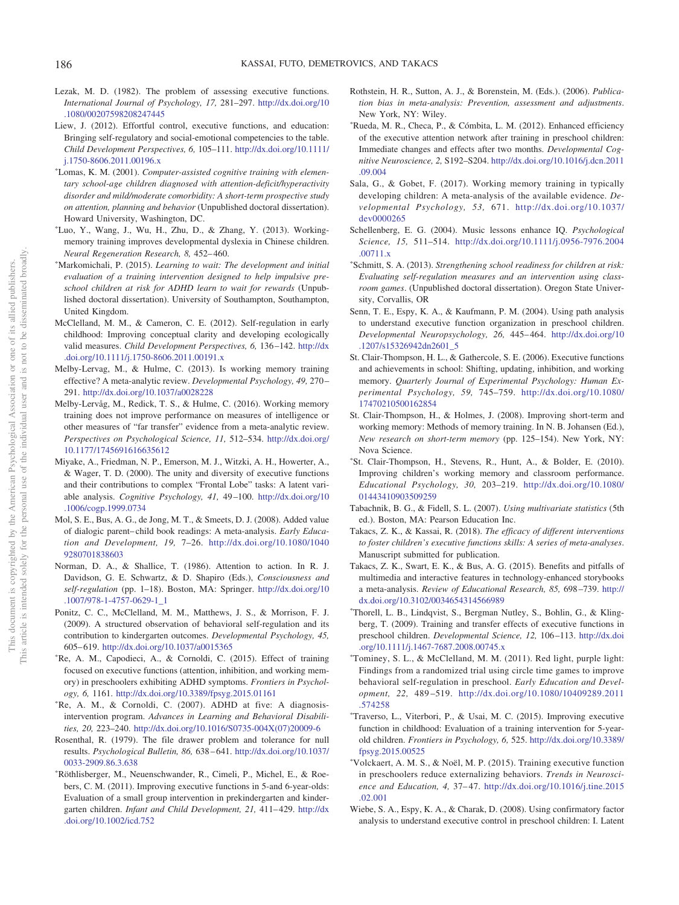- <span id="page-21-4"></span>Lezak, M. D. (1982). The problem of assessing executive functions. *International Journal of Psychology, 17,* 281–297. [http://dx.doi.org/10](http://dx.doi.org/10.1080/00207598208247445) [.1080/00207598208247445](http://dx.doi.org/10.1080/00207598208247445)
- <span id="page-21-2"></span>Liew, J. (2012). Effortful control, executive functions, and education: Bringing self-regulatory and social-emotional competencies to the table. *Child Development Perspectives, 6,* 105–111. [http://dx.doi.org/10.1111/](http://dx.doi.org/10.1111/j.1750-8606.2011.00196.x) [j.1750-8606.2011.00196.x](http://dx.doi.org/10.1111/j.1750-8606.2011.00196.x)
- <span id="page-21-11"></span>- Lomas, K. M. (2001). *Computer-assisted cognitive training with elementary school-age children diagnosed with attention-deficit/hyperactivity disorder and mild/moderate comorbidity: A short-term prospective study on attention, planning and behavior* (Unpublished doctoral dissertation). Howard University, Washington, DC.
- Luo, Y., Wang, J., Wu, H., Zhu, D., & Zhang, Y. (2013). Workingmemory training improves developmental dyslexia in Chinese children. *Neural Regeneration Research, 8,* 452– 460.
- Markomichali, P. (2015). *Learning to wait: The development and initial evaluation of a training intervention designed to help impulsive preschool children at risk for ADHD learn to wait for rewards* (Unpublished doctoral dissertation). University of Southampton, Southampton, United Kingdom.
- <span id="page-21-3"></span>McClelland, M. M., & Cameron, C. E. (2012). Self-regulation in early childhood: Improving conceptual clarity and developing ecologically valid measures. *Child Development Perspectives, 6,* 136 –142. [http://dx](http://dx.doi.org/10.1111/j.1750-8606.2011.00191.x) [.doi.org/10.1111/j.1750-8606.2011.00191.x](http://dx.doi.org/10.1111/j.1750-8606.2011.00191.x)
- <span id="page-21-0"></span>Melby-Lervag, M., & Hulme, C. (2013). Is working memory training effective? A meta-analytic review. *Developmental Psychology, 49,* 270 – 291. <http://dx.doi.org/10.1037/a0028228>
- <span id="page-21-10"></span>Melby-Lervåg, M., Redick, T. S., & Hulme, C. (2016). Working memory training does not improve performance on measures of intelligence or other measures of "far transfer" evidence from a meta-analytic review. *Perspectives on Psychological Science, 11,* 512–534. [http://dx.doi.org/](http://dx.doi.org/10.1177/1745691616635612) [10.1177/1745691616635612](http://dx.doi.org/10.1177/1745691616635612)
- <span id="page-21-6"></span>Miyake, A., Friedman, N. P., Emerson, M. J., Witzki, A. H., Howerter, A., & Wager, T. D. (2000). The unity and diversity of executive functions and their contributions to complex "Frontal Lobe" tasks: A latent variable analysis. *Cognitive Psychology, 41,* 49 –100. [http://dx.doi.org/10](http://dx.doi.org/10.1006/cogp.1999.0734) [.1006/cogp.1999.0734](http://dx.doi.org/10.1006/cogp.1999.0734)
- <span id="page-21-22"></span>Mol, S. E., Bus, A. G., de Jong, M. T., & Smeets, D. J. (2008). Added value of dialogic parent– child book readings: A meta-analysis. *Early Education and Development, 19,* 7–26. [http://dx.doi.org/10.1080/1040](http://dx.doi.org/10.1080/10409280701838603) [9280701838603](http://dx.doi.org/10.1080/10409280701838603)
- <span id="page-21-5"></span>Norman, D. A., & Shallice, T. (1986). Attention to action. In R. J. Davidson, G. E. Schwartz, & D. Shapiro (Eds.), *Consciousness and self-regulation* (pp. 1–18). Boston, MA: Springer. [http://dx.doi.org/10](http://dx.doi.org/10.1007/978-1-4757-0629-1_1) [.1007/978-1-4757-0629-1\\_1](http://dx.doi.org/10.1007/978-1-4757-0629-1_1)
- <span id="page-21-17"></span>Ponitz, C. C., McClelland, M. M., Matthews, J. S., & Morrison, F. J. (2009). A structured observation of behavioral self-regulation and its contribution to kindergarten outcomes. *Developmental Psychology, 45,* 605– 619. <http://dx.doi.org/10.1037/a0015365>
- Re, A. M., Capodieci, A., & Cornoldi, C. (2015). Effect of training focused on executive functions (attention, inhibition, and working memory) in preschoolers exhibiting ADHD symptoms. *Frontiers in Psychology, 6,* 1161. <http://dx.doi.org/10.3389/fpsyg.2015.01161>
- Re, A. M., & Cornoldi, C. (2007). ADHD at five: A diagnosisintervention program. *Advances in Learning and Behavioral Disabilities, 20,* 223–240. [http://dx.doi.org/10.1016/S0735-004X\(07\)20009-6](http://dx.doi.org/10.1016/S0735-004X%2807%2920009-6)
- <span id="page-21-26"></span>Rosenthal, R. (1979). The file drawer problem and tolerance for null results. *Psychological Bulletin, 86,* 638 – 641. [http://dx.doi.org/10.1037/](http://dx.doi.org/10.1037/0033-2909.86.3.638) [0033-2909.86.3.638](http://dx.doi.org/10.1037/0033-2909.86.3.638)
- <span id="page-21-14"></span>- Röthlisberger, M., Neuenschwander, R., Cimeli, P., Michel, E., & Roebers, C. M. (2011). Improving executive functions in 5-and 6-year-olds: Evaluation of a small group intervention in prekindergarten and kindergarten children. *Infant and Child Development*, 21, 411-429. [http://dx](http://dx.doi.org/10.1002/icd.752) [.doi.org/10.1002/icd.752](http://dx.doi.org/10.1002/icd.752)
- <span id="page-21-25"></span>Rothstein, H. R., Sutton, A. J., & Borenstein, M. (Eds.). (2006). *Publication bias in meta-analysis: Prevention, assessment and adjustments*. New York, NY: Wiley.
- <span id="page-21-16"></span>- Rueda, M. R., Checa, P., & Cómbita, L. M. (2012). Enhanced efficiency of the executive attention network after training in preschool children: Immediate changes and effects after two months. *Developmental Cognitive Neuroscience, 2,* S192–S204. [http://dx.doi.org/10.1016/j.dcn.2011](http://dx.doi.org/10.1016/j.dcn.2011.09.004) [.09.004](http://dx.doi.org/10.1016/j.dcn.2011.09.004)
- <span id="page-21-1"></span>Sala, G., & Gobet, F. (2017). Working memory training in typically developing children: A meta-analysis of the available evidence. *Developmental Psychology, 53,* 671. [http://dx.doi.org/10.1037/](http://dx.doi.org/10.1037/dev0000265) [dev0000265](http://dx.doi.org/10.1037/dev0000265)
- <span id="page-21-20"></span>Schellenberg, E. G. (2004). Music lessons enhance IQ. *Psychological Science, 15,* 511–514. [http://dx.doi.org/10.1111/j.0956-7976.2004](http://dx.doi.org/10.1111/j.0956-7976.2004.00711.x) [.00711.x](http://dx.doi.org/10.1111/j.0956-7976.2004.00711.x)
- <span id="page-21-18"></span>- Schmitt, S. A. (2013). *Strengthening school readiness for children at risk: Evaluating self-regulation measures and an intervention using classroom games*. (Unpublished doctoral dissertation). Oregon State University, Corvallis, OR
- <span id="page-21-9"></span>Senn, T. E., Espy, K. A., & Kaufmann, P. M. (2004). Using path analysis to understand executive function organization in preschool children. *Developmental Neuropsychology, 26,* 445– 464. [http://dx.doi.org/10](http://dx.doi.org/10.1207/s15326942dn2601_5) [.1207/s15326942dn2601\\_5](http://dx.doi.org/10.1207/s15326942dn2601_5)
- <span id="page-21-7"></span>St. Clair-Thompson, H. L., & Gathercole, S. E. (2006). Executive functions and achievements in school: Shifting, updating, inhibition, and working memory. *Quarterly Journal of Experimental Psychology: Human Experimental Psychology, 59,* 745–759. [http://dx.doi.org/10.1080/](http://dx.doi.org/10.1080/17470210500162854) [17470210500162854](http://dx.doi.org/10.1080/17470210500162854)
- <span id="page-21-21"></span>St. Clair-Thompson, H., & Holmes, J. (2008). Improving short-term and working memory: Methods of memory training. In N. B. Johansen (Ed.), *New research on short-term memory* (pp. 125–154). New York, NY: Nova Science.
- St. Clair-Thompson, H., Stevens, R., Hunt, A., & Bolder, E. (2010). Improving children's working memory and classroom performance. *Educational Psychology, 30,* 203–219. [http://dx.doi.org/10.1080/](http://dx.doi.org/10.1080/01443410903509259) [01443410903509259](http://dx.doi.org/10.1080/01443410903509259)
- <span id="page-21-24"></span>Tabachnik, B. G., & Fidell, S. L. (2007). *Using multivariate statistics* (5th ed.). Boston, MA: Pearson Education Inc.
- <span id="page-21-19"></span>Takacs, Z. K., & Kassai, R. (2018). *The efficacy of different interventions to foster children's executive functions skills: A series of meta-analyses*. Manuscript submitted for publication.
- <span id="page-21-23"></span>Takacs, Z. K., Swart, E. K., & Bus, A. G. (2015). Benefits and pitfalls of multimedia and interactive features in technology-enhanced storybooks a meta-analysis. *Review of Educational Research, 85,* 698 –739. [http://](http://dx.doi.org/10.3102/0034654314566989) [dx.doi.org/10.3102/0034654314566989](http://dx.doi.org/10.3102/0034654314566989)
- <span id="page-21-15"></span>- Thorell, L. B., Lindqvist, S., Bergman Nutley, S., Bohlin, G., & Klingberg, T. (2009). Training and transfer effects of executive functions in preschool children. *Developmental Science, 12,* 106 –113. [http://dx.doi](http://dx.doi.org/10.1111/j.1467-7687.2008.00745.x) [.org/10.1111/j.1467-7687.2008.00745.x](http://dx.doi.org/10.1111/j.1467-7687.2008.00745.x)
- Tominey, S. L., & McClelland, M. M. (2011). Red light, purple light: Findings from a randomized trial using circle time games to improve behavioral self-regulation in preschool. *Early Education and Development, 22,* 489 –519. [http://dx.doi.org/10.1080/10409289.2011](http://dx.doi.org/10.1080/10409289.2011.574258) [.574258](http://dx.doi.org/10.1080/10409289.2011.574258)
- <span id="page-21-12"></span>- Traverso, L., Viterbori, P., & Usai, M. C. (2015). Improving executive function in childhood: Evaluation of a training intervention for 5-yearold children. *Frontiers in Psychology, 6,* 525. [http://dx.doi.org/10.3389/](http://dx.doi.org/10.3389/fpsyg.2015.00525) [fpsyg.2015.00525](http://dx.doi.org/10.3389/fpsyg.2015.00525)
- <span id="page-21-13"></span>- Volckaert, A. M. S., & Noël, M. P. (2015). Training executive function in preschoolers reduce externalizing behaviors. *Trends in Neuroscience and Education, 4,* 37– 47. [http://dx.doi.org/10.1016/j.tine.2015](http://dx.doi.org/10.1016/j.tine.2015.02.001) [.02.001](http://dx.doi.org/10.1016/j.tine.2015.02.001)
- <span id="page-21-8"></span>Wiebe, S. A., Espy, K. A., & Charak, D. (2008). Using confirmatory factor analysis to understand executive control in preschool children: I. Latent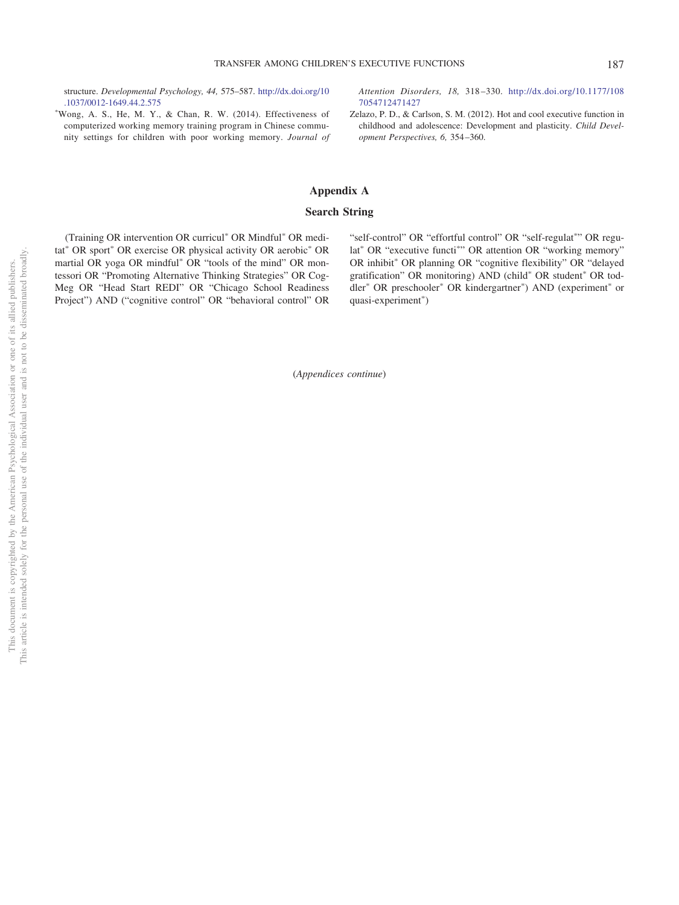structure. *Developmental Psychology, 44,* 575–587. [http://dx.doi.org/10](http://dx.doi.org/10.1037/0012-1649.44.2.575) [.1037/0012-1649.44.2.575](http://dx.doi.org/10.1037/0012-1649.44.2.575)

- Wong, A. S., He, M. Y., & Chan, R. W. (2014). Effectiveness of computerized working memory training program in Chinese community settings for children with poor working memory. *Journal of* *Attention Disorders, 18,* 318 –330. [http://dx.doi.org/10.1177/108](http://dx.doi.org/10.1177/1087054712471427) [7054712471427](http://dx.doi.org/10.1177/1087054712471427)

<span id="page-22-0"></span>Zelazo, P. D., & Carlson, S. M. (2012). Hot and cool executive function in childhood and adolescence: Development and plasticity. *Child Development Perspectives, 6,* 354 –360.

## <span id="page-22-1"></span>**Appendix A**

### **Search String**

(Training OR intervention OR curricul<sup>\*</sup> OR Mindful<sup>\*</sup> OR meditat<sup>\*</sup> OR sport<sup>\*</sup> OR exercise OR physical activity OR aerobic<sup>\*</sup> OR martial OR yoga OR mindful<sup>\*</sup> OR "tools of the mind" OR montessori OR "Promoting Alternative Thinking Strategies" OR Cog-Meg OR "Head Start REDI" OR "Chicago School Readiness Project") AND ("cognitive control" OR "behavioral control" OR

"self-control" OR "effortful control" OR "self-regulat"" OR regulat<sup>\*</sup> OR "executive functi<sup>\*</sup>" OR attention OR "working memory" OR inhibit\* OR planning OR "cognitive flexibility" OR "delayed gratification" OR monitoring) AND (child<sup>\*</sup> OR student<sup>\*</sup> OR toddler<sup>\*</sup> OR preschooler<sup>\*</sup> OR kindergartner<sup>\*</sup>) AND (experiment<sup>\*</sup> or quasi-experiment\*)

(*Appendices continue*)